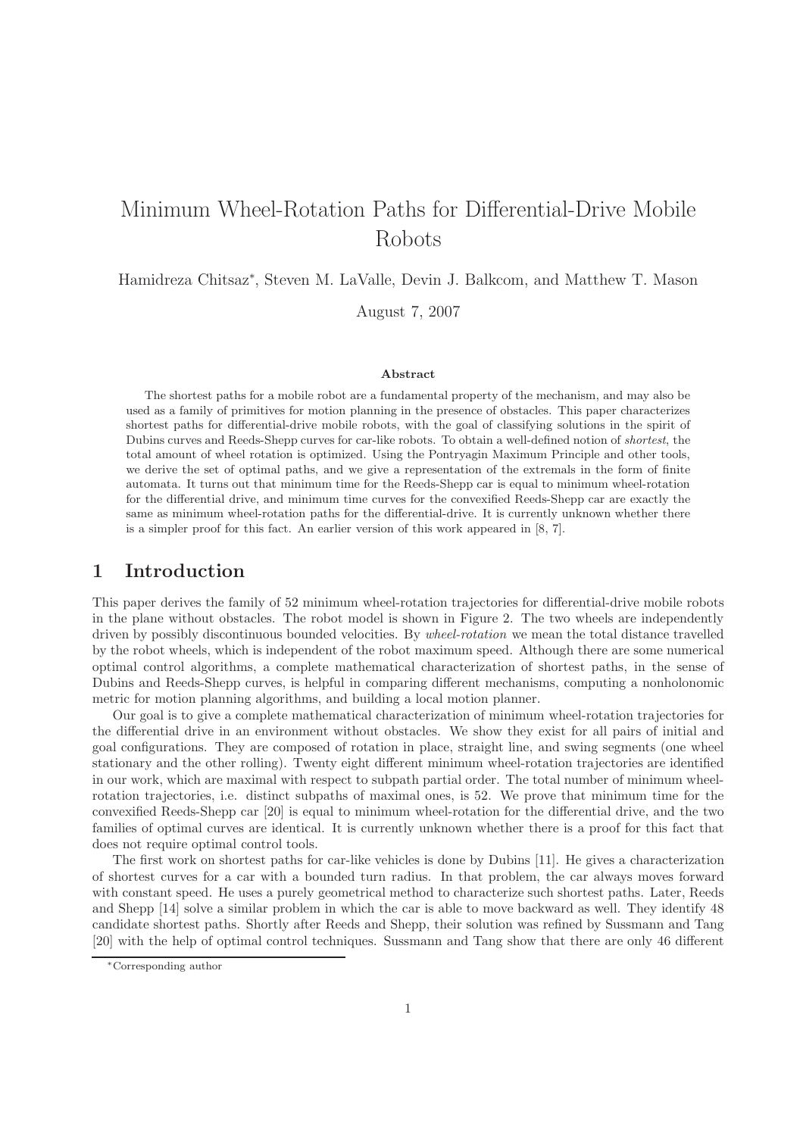# Minimum Wheel-Rotation Paths for Differential-Drive Mobile Robots

Hamidreza Chitsaz<sup>∗</sup> , Steven M. LaValle, Devin J. Balkcom, and Matthew T. Mason

August 7, 2007

#### Abstract

The shortest paths for a mobile robot are a fundamental property of the mechanism, and may also be used as a family of primitives for motion planning in the presence of obstacles. This paper characterizes shortest paths for differential-drive mobile robots, with the goal of classifying solutions in the spirit of Dubins curves and Reeds-Shepp curves for car-like robots. To obtain a well-defined notion of shortest, the total amount of wheel rotation is optimized. Using the Pontryagin Maximum Principle and other tools, we derive the set of optimal paths, and we give a representation of the extremals in the form of finite automata. It turns out that minimum time for the Reeds-Shepp car is equal to minimum wheel-rotation for the differential drive, and minimum time curves for the convexified Reeds-Shepp car are exactly the same as minimum wheel-rotation paths for the differential-drive. It is currently unknown whether there is a simpler proof for this fact. An earlier version of this work appeared in [8, 7].

### 1 Introduction

This paper derives the family of 52 minimum wheel-rotation trajectories for differential-drive mobile robots in the plane without obstacles. The robot model is shown in Figure 2. The two wheels are independently driven by possibly discontinuous bounded velocities. By wheel-rotation we mean the total distance travelled by the robot wheels, which is independent of the robot maximum speed. Although there are some numerical optimal control algorithms, a complete mathematical characterization of shortest paths, in the sense of Dubins and Reeds-Shepp curves, is helpful in comparing different mechanisms, computing a nonholonomic metric for motion planning algorithms, and building a local motion planner.

Our goal is to give a complete mathematical characterization of minimum wheel-rotation trajectories for the differential drive in an environment without obstacles. We show they exist for all pairs of initial and goal configurations. They are composed of rotation in place, straight line, and swing segments (one wheel stationary and the other rolling). Twenty eight different minimum wheel-rotation trajectories are identified in our work, which are maximal with respect to subpath partial order. The total number of minimum wheelrotation trajectories, i.e. distinct subpaths of maximal ones, is 52. We prove that minimum time for the convexified Reeds-Shepp car [20] is equal to minimum wheel-rotation for the differential drive, and the two families of optimal curves are identical. It is currently unknown whether there is a proof for this fact that does not require optimal control tools.

The first work on shortest paths for car-like vehicles is done by Dubins [11]. He gives a characterization of shortest curves for a car with a bounded turn radius. In that problem, the car always moves forward with constant speed. He uses a purely geometrical method to characterize such shortest paths. Later, Reeds and Shepp [14] solve a similar problem in which the car is able to move backward as well. They identify 48 candidate shortest paths. Shortly after Reeds and Shepp, their solution was refined by Sussmann and Tang [20] with the help of optimal control techniques. Sussmann and Tang show that there are only 46 different

<sup>∗</sup>Corresponding author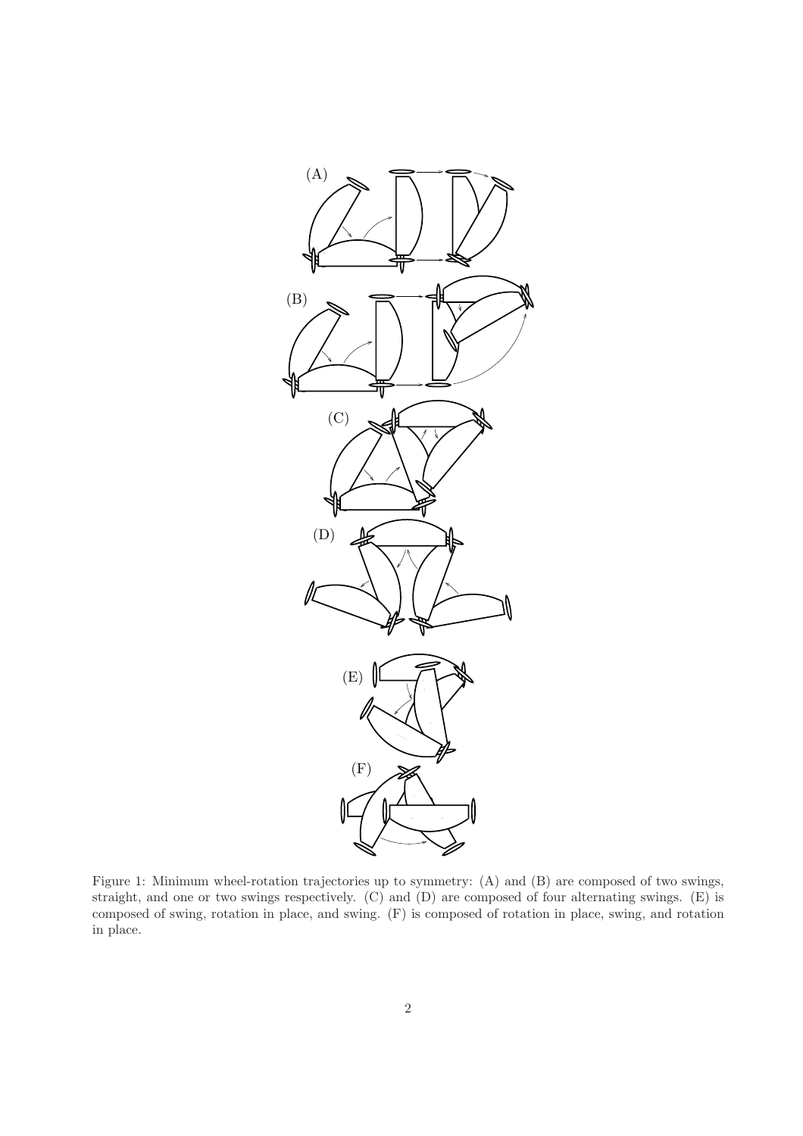

Figure 1: Minimum wheel-rotation trajectories up to symmetry: (A) and (B) are composed of two swings, straight, and one or two swings respectively. (C) and (D) are composed of four alternating swings. (E) is composed of swing, rotation in place, and swing. (F) is composed of rotation in place, swing, and rotation in place.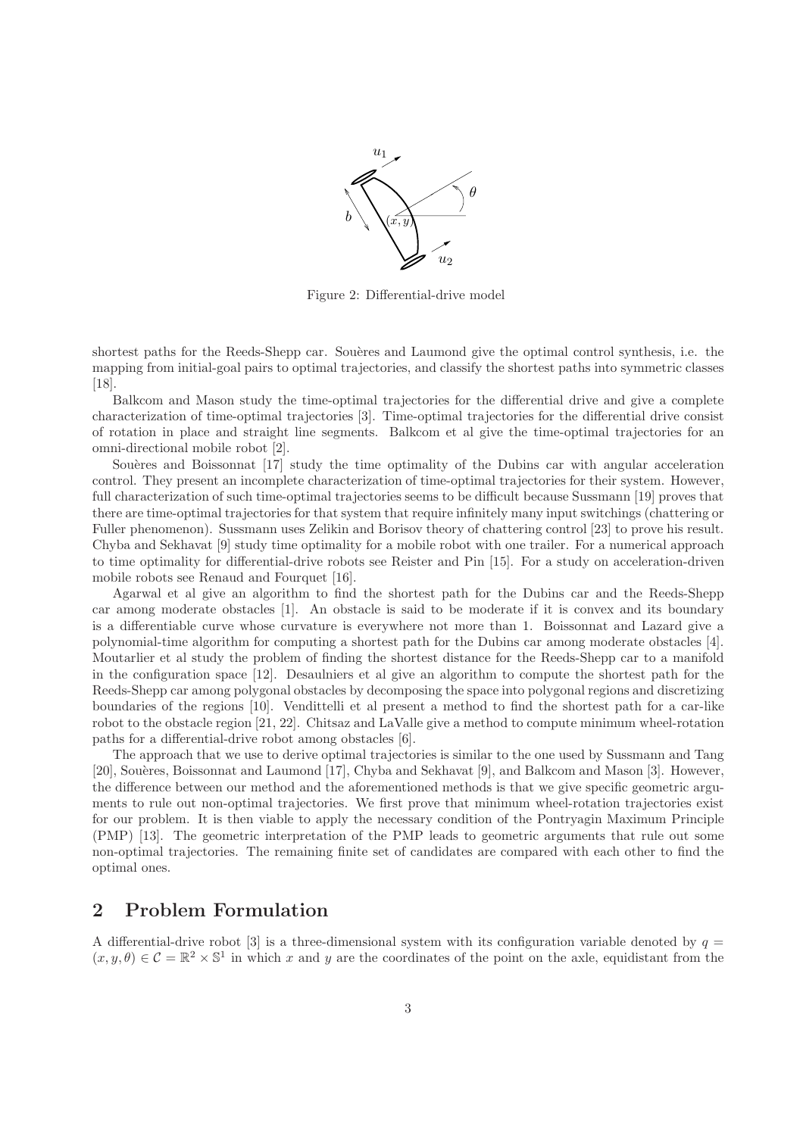

Figure 2: Differential-drive model

shortest paths for the Reeds-Shepp car. Souères and Laumond give the optimal control synthesis, i.e. the mapping from initial-goal pairs to optimal trajectories, and classify the shortest paths into symmetric classes [18].

Balkcom and Mason study the time-optimal trajectories for the differential drive and give a complete characterization of time-optimal trajectories [3]. Time-optimal trajectories for the differential drive consist of rotation in place and straight line segments. Balkcom et al give the time-optimal trajectories for an omni-directional mobile robot [2].

Souères and Boissonnat [17] study the time optimality of the Dubins car with angular acceleration control. They present an incomplete characterization of time-optimal trajectories for their system. However, full characterization of such time-optimal trajectories seems to be difficult because Sussmann [19] proves that there are time-optimal trajectories for that system that require infinitely many input switchings (chattering or Fuller phenomenon). Sussmann uses Zelikin and Borisov theory of chattering control [23] to prove his result. Chyba and Sekhavat [9] study time optimality for a mobile robot with one trailer. For a numerical approach to time optimality for differential-drive robots see Reister and Pin [15]. For a study on acceleration-driven mobile robots see Renaud and Fourquet [16].

Agarwal et al give an algorithm to find the shortest path for the Dubins car and the Reeds-Shepp car among moderate obstacles [1]. An obstacle is said to be moderate if it is convex and its boundary is a differentiable curve whose curvature is everywhere not more than 1. Boissonnat and Lazard give a polynomial-time algorithm for computing a shortest path for the Dubins car among moderate obstacles [4]. Moutarlier et al study the problem of finding the shortest distance for the Reeds-Shepp car to a manifold in the configuration space [12]. Desaulniers et al give an algorithm to compute the shortest path for the Reeds-Shepp car among polygonal obstacles by decomposing the space into polygonal regions and discretizing boundaries of the regions [10]. Vendittelli et al present a method to find the shortest path for a car-like robot to the obstacle region [21, 22]. Chitsaz and LaValle give a method to compute minimum wheel-rotation paths for a differential-drive robot among obstacles [6].

The approach that we use to derive optimal trajectories is similar to the one used by Sussmann and Tang [20], Souères, Boissonnat and Laumond [17], Chyba and Sekhavat [9], and Balkcom and Mason [3]. However, the difference between our method and the aforementioned methods is that we give specific geometric arguments to rule out non-optimal trajectories. We first prove that minimum wheel-rotation trajectories exist for our problem. It is then viable to apply the necessary condition of the Pontryagin Maximum Principle (PMP) [13]. The geometric interpretation of the PMP leads to geometric arguments that rule out some non-optimal trajectories. The remaining finite set of candidates are compared with each other to find the optimal ones.

# 2 Problem Formulation

A differential-drive robot [3] is a three-dimensional system with its configuration variable denoted by  $q =$  $(x, y, \theta) \in \mathcal{C} = \mathbb{R}^2 \times \mathbb{S}^1$  in which x and y are the coordinates of the point on the axle, equidistant from the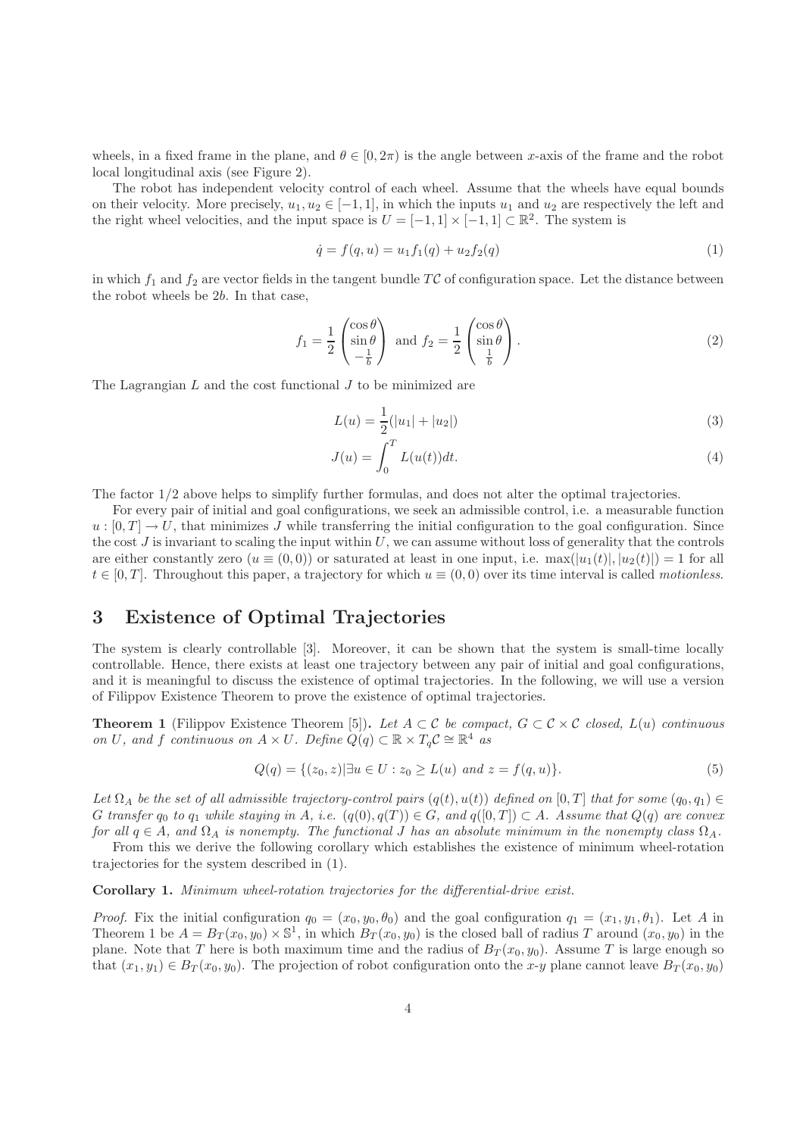wheels, in a fixed frame in the plane, and  $\theta \in [0, 2\pi)$  is the angle between x-axis of the frame and the robot local longitudinal axis (see Figure 2).

The robot has independent velocity control of each wheel. Assume that the wheels have equal bounds on their velocity. More precisely,  $u_1, u_2 \in [-1, 1]$ , in which the inputs  $u_1$  and  $u_2$  are respectively the left and the right wheel velocities, and the input space is  $U = [-1, 1] \times [-1, 1] \subset \mathbb{R}^2$ . The system is

$$
\dot{q} = f(q, u) = u_1 f_1(q) + u_2 f_2(q) \tag{1}
$$

in which  $f_1$  and  $f_2$  are vector fields in the tangent bundle TC of configuration space. Let the distance between the robot wheels be 2b. In that case,

$$
f_1 = \frac{1}{2} \begin{pmatrix} \cos \theta \\ \sin \theta \\ -\frac{1}{b} \end{pmatrix} \text{ and } f_2 = \frac{1}{2} \begin{pmatrix} \cos \theta \\ \sin \theta \\ \frac{1}{b} \end{pmatrix}.
$$
 (2)

The Lagrangian  $L$  and the cost functional  $J$  to be minimized are

$$
L(u) = \frac{1}{2}(|u_1| + |u_2|)
$$
\n(3)

$$
J(u) = \int_0^T L(u(t))dt.
$$
\n(4)

The factor 1/2 above helps to simplify further formulas, and does not alter the optimal trajectories.

For every pair of initial and goal configurations, we seek an admissible control, i.e. a measurable function  $u: [0, T] \to U$ , that minimizes J while transferring the initial configuration to the goal configuration. Since the cost  $J$  is invariant to scaling the input within  $U$ , we can assume without loss of generality that the controls are either constantly zero  $(u \equiv (0,0))$  or saturated at least in one input, i.e.  $\max(|u_1(t)|, |u_2(t)|) = 1$  for all  $t \in [0, T]$ . Throughout this paper, a trajectory for which  $u \equiv (0, 0)$  over its time interval is called *motionless*.

# 3 Existence of Optimal Trajectories

The system is clearly controllable [3]. Moreover, it can be shown that the system is small-time locally controllable. Hence, there exists at least one trajectory between any pair of initial and goal configurations, and it is meaningful to discuss the existence of optimal trajectories. In the following, we will use a version of Filippov Existence Theorem to prove the existence of optimal trajectories.

**Theorem 1** (Filippov Existence Theorem [5]). Let  $A \subset \mathcal{C}$  be compact,  $G \subset \mathcal{C} \times \mathcal{C}$  closed,  $L(u)$  continuous on U, and f continuous on  $A \times U$ . Define  $Q(q) \subset \mathbb{R} \times T_q C \cong \mathbb{R}^4$  as

$$
Q(q) = \{(z_0, z) | \exists u \in U : z_0 \ge L(u) \text{ and } z = f(q, u)\}.
$$
\n
$$
(5)
$$

Let  $\Omega_A$  be the set of all admissible trajectory-control pairs  $(q(t), u(t))$  defined on  $[0, T]$  that for some  $(q_0, q_1) \in$ G transfer  $q_0$  to  $q_1$  while staying in A, i.e.  $(q(0), q(T)) \in G$ , and  $q([0, T]) \subset A$ . Assume that  $Q(q)$  are convex for all  $q \in A$ , and  $\Omega_A$  is nonempty. The functional J has an absolute minimum in the nonempty class  $\Omega_A$ .

From this we derive the following corollary which establishes the existence of minimum wheel-rotation trajectories for the system described in (1).

Corollary 1. Minimum wheel-rotation trajectories for the differential-drive exist.

*Proof.* Fix the initial configuration  $q_0 = (x_0, y_0, \theta_0)$  and the goal configuration  $q_1 = (x_1, y_1, \theta_1)$ . Let A in Theorem 1 be  $A = B_T(x_0, y_0) \times \mathbb{S}^1$ , in which  $B_T(x_0, y_0)$  is the closed ball of radius T around  $(x_0, y_0)$  in the plane. Note that T here is both maximum time and the radius of  $B_T(x_0, y_0)$ . Assume T is large enough so that  $(x_1, y_1) \in B_T(x_0, y_0)$ . The projection of robot configuration onto the x-y plane cannot leave  $B_T(x_0, y_0)$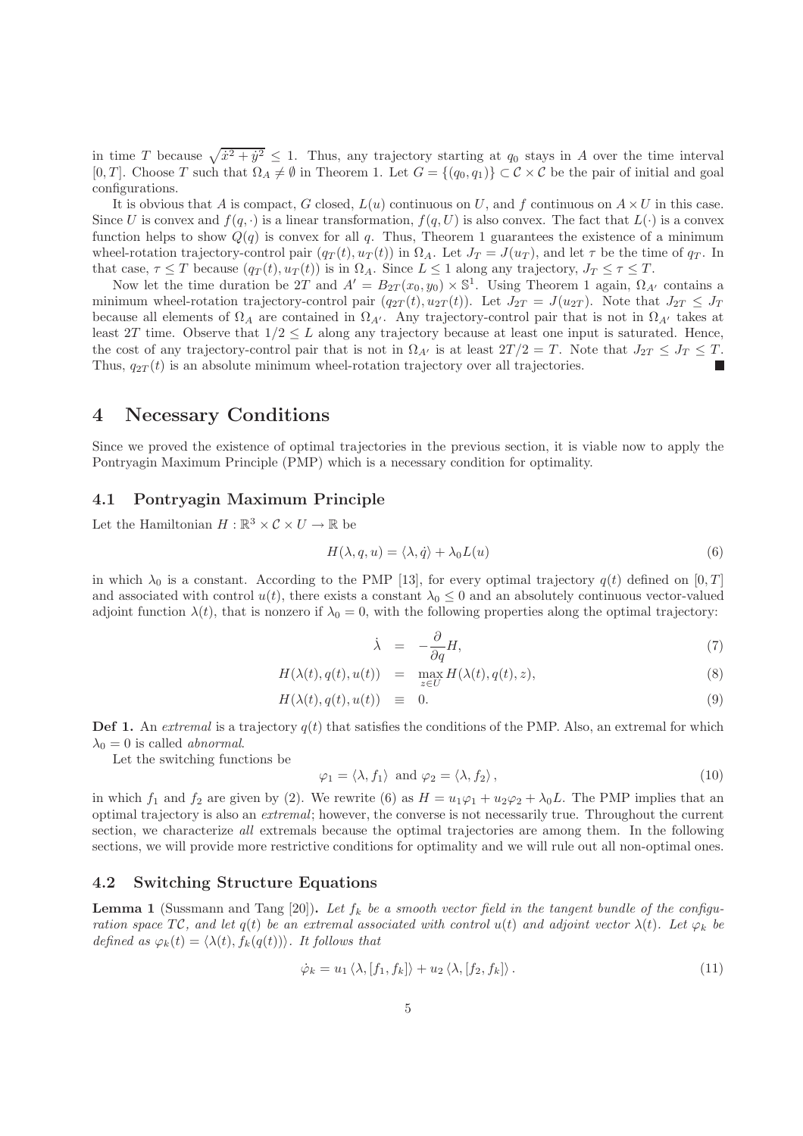in time T because  $\sqrt{\dot{x}^2 + \dot{y}^2} \leq 1$ . Thus, any trajectory starting at  $q_0$  stays in A over the time interval [0, T]. Choose T such that  $\Omega_A \neq \emptyset$  in Theorem 1. Let  $G = \{(q_0, q_1)\} \subset \mathcal{C} \times \mathcal{C}$  be the pair of initial and goal configurations.

It is obvious that A is compact, G closed,  $L(u)$  continuous on U, and f continuous on  $A \times U$  in this case. Since U is convex and  $f(q, \cdot)$  is a linear transformation,  $f(q, U)$  is also convex. The fact that  $L(\cdot)$  is a convex function helps to show  $Q(q)$  is convex for all q. Thus, Theorem 1 guarantees the existence of a minimum wheel-rotation trajectory-control pair  $(q_T(t), u_T(t))$  in  $\Omega_A$ . Let  $J_T = J(u_T)$ , and let  $\tau$  be the time of  $q_T$ . In that case,  $\tau \leq T$  because  $(q_T(t), u_T(t))$  is in  $\Omega_A$ . Since  $L \leq 1$  along any trajectory,  $J_T \leq \tau \leq T$ .

Now let the time duration be 2T and  $A' = B_{2T}(x_0, y_0) \times \mathbb{S}^1$ . Using Theorem 1 again,  $\Omega_{A'}$  contains a minimum wheel-rotation trajectory-control pair  $(q_{2T}(t), u_{2T}(t))$ . Let  $J_{2T} = J(u_{2T})$ . Note that  $J_{2T} \leq J_T$ because all elements of  $\Omega_A$  are contained in  $\Omega_{A'}$ . Any trajectory-control pair that is not in  $\Omega_{A'}$  takes at least 2T time. Observe that  $1/2 \leq L$  along any trajectory because at least one input is saturated. Hence, the cost of any trajectory-control pair that is not in  $\Omega_{A'}$  is at least  $2T/2 = T$ . Note that  $J_{2T} \leq J_T \leq T$ . Thus,  $q_{2T}(t)$  is an absolute minimum wheel-rotation trajectory over all trajectories.

### 4 Necessary Conditions

Since we proved the existence of optimal trajectories in the previous section, it is viable now to apply the Pontryagin Maximum Principle (PMP) which is a necessary condition for optimality.

#### 4.1 Pontryagin Maximum Principle

Let the Hamiltonian  $H : \mathbb{R}^3 \times \mathcal{C} \times U \to \mathbb{R}$  be

$$
H(\lambda, q, u) = \langle \lambda, \dot{q} \rangle + \lambda_0 L(u) \tag{6}
$$

in which  $\lambda_0$  is a constant. According to the PMP [13], for every optimal trajectory  $q(t)$  defined on [0, T] and associated with control  $u(t)$ , there exists a constant  $\lambda_0 \leq 0$  and an absolutely continuous vector-valued adjoint function  $\lambda(t)$ , that is nonzero if  $\lambda_0 = 0$ , with the following properties along the optimal trajectory:

$$
\dot{\lambda} = -\frac{\partial}{\partial q}H,\tag{7}
$$

$$
H(\lambda(t), q(t), u(t)) = \max_{z \in U} H(\lambda(t), q(t), z), \tag{8}
$$

$$
H(\lambda(t), q(t), u(t)) \equiv 0. \tag{9}
$$

**Def 1.** An extremal is a trajectory  $q(t)$  that satisfies the conditions of the PMP. Also, an extremal for which  $\lambda_0 = 0$  is called *abnormal*.

Let the switching functions be

$$
\varphi_1 = \langle \lambda, f_1 \rangle \text{ and } \varphi_2 = \langle \lambda, f_2 \rangle, \tag{10}
$$

in which  $f_1$  and  $f_2$  are given by (2). We rewrite (6) as  $H = u_1\varphi_1 + u_2\varphi_2 + \lambda_0 L$ . The PMP implies that an optimal trajectory is also an extremal; however, the converse is not necessarily true. Throughout the current section, we characterize all extremals because the optimal trajectories are among them. In the following sections, we will provide more restrictive conditions for optimality and we will rule out all non-optimal ones.

#### 4.2 Switching Structure Equations

**Lemma 1** (Sussmann and Tang [20]). Let  $f_k$  be a smooth vector field in the tangent bundle of the configuration space TC, and let  $q(t)$  be an extremal associated with control  $u(t)$  and adjoint vector  $\lambda(t)$ . Let  $\varphi_k$  be defined as  $\varphi_k(t) = \langle \lambda(t), f_k(q(t)) \rangle$ . It follows that

$$
\dot{\varphi}_k = u_1 \langle \lambda, [f_1, f_k] \rangle + u_2 \langle \lambda, [f_2, f_k] \rangle. \tag{11}
$$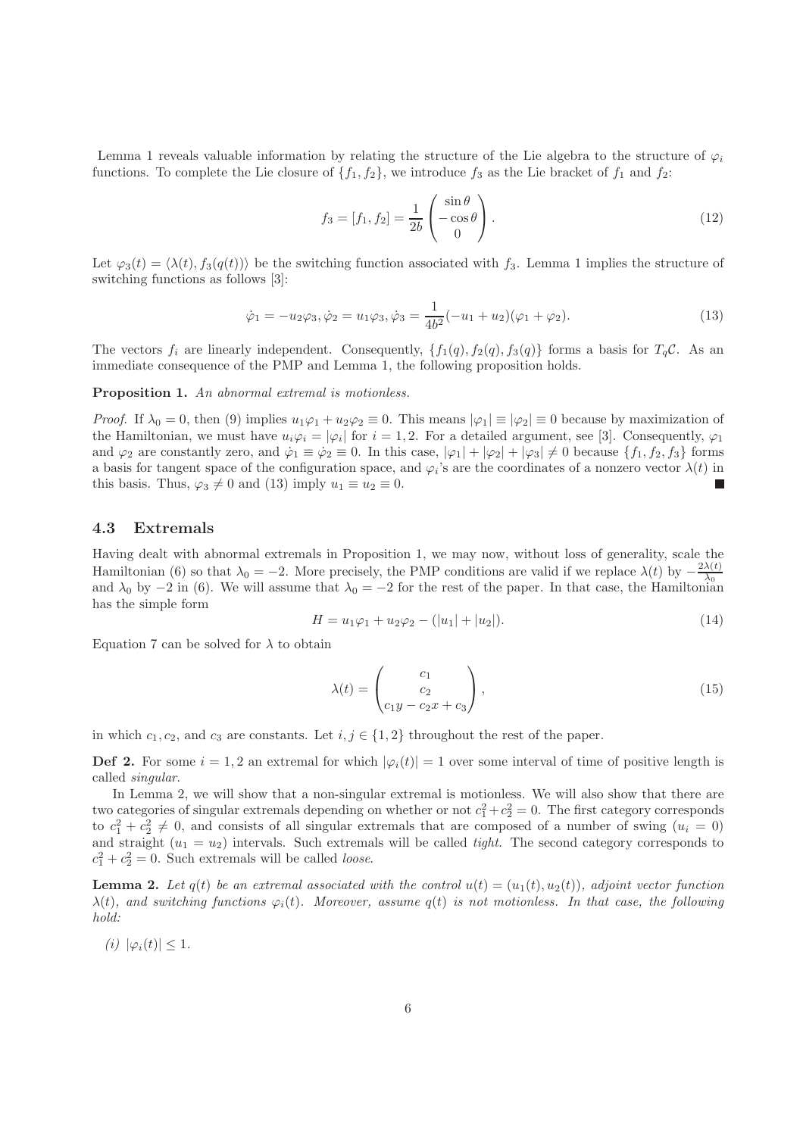Lemma 1 reveals valuable information by relating the structure of the Lie algebra to the structure of  $\varphi_i$ functions. To complete the Lie closure of  $\{f_1, f_2\}$ , we introduce  $f_3$  as the Lie bracket of  $f_1$  and  $f_2$ :

$$
f_3 = [f_1, f_2] = \frac{1}{2b} \begin{pmatrix} \sin \theta \\ -\cos \theta \\ 0 \end{pmatrix}.
$$
 (12)

Let  $\varphi_3(t) = \langle \lambda(t), f_3(q(t)) \rangle$  be the switching function associated with f<sub>3</sub>. Lemma 1 implies the structure of switching functions as follows [3]:

$$
\dot{\varphi}_1 = -u_2 \varphi_3, \dot{\varphi}_2 = u_1 \varphi_3, \dot{\varphi}_3 = \frac{1}{4b^2}(-u_1 + u_2)(\varphi_1 + \varphi_2). \tag{13}
$$

The vectors  $f_i$  are linearly independent. Consequently,  $\{f_1(q), f_2(q), f_3(q)\}\)$  forms a basis for  $T_qC$ . As an immediate consequence of the PMP and Lemma 1, the following proposition holds.

#### Proposition 1. An abnormal extremal is motionless.

*Proof.* If  $\lambda_0 = 0$ , then (9) implies  $u_1\varphi_1 + u_2\varphi_2 \equiv 0$ . This means  $|\varphi_1| \equiv |\varphi_2| \equiv 0$  because by maximization of the Hamiltonian, we must have  $u_i\varphi_i = |\varphi_i|$  for  $i = 1, 2$ . For a detailed argument, see [3]. Consequently,  $\varphi_1$ and  $\varphi_2$  are constantly zero, and  $\dot{\varphi}_1 \equiv \dot{\varphi}_2 \equiv 0$ . In this case,  $|\varphi_1| + |\varphi_2| + |\varphi_3| \neq 0$  because  $\{f_1, f_2, f_3\}$  forms a basis for tangent space of the configuration space, and  $\varphi_i$ 's are the coordinates of a nonzero vector  $\lambda(t)$  in this basis. Thus,  $\varphi_3 \neq 0$  and (13) imply  $u_1 \equiv u_2 \equiv 0$ . П

#### 4.3 Extremals

Having dealt with abnormal extremals in Proposition 1, we may now, without loss of generality, scale the Hamiltonian (6) so that  $\lambda_0 = -2$ . More precisely, the PMP conditions are valid if we replace  $\lambda(t)$  by  $-\frac{2\lambda(t)}{\lambda_0}$  $\lambda_0$ and  $\lambda_0$  by −2 in (6). We will assume that  $\lambda_0 = -2$  for the rest of the paper. In that case, the Hamiltonian has the simple form

$$
H = u_1 \varphi_1 + u_2 \varphi_2 - (|u_1| + |u_2|). \tag{14}
$$

Equation 7 can be solved for  $\lambda$  to obtain

$$
\lambda(t) = \begin{pmatrix} c_1 \\ c_2 \\ c_1 y - c_2 x + c_3 \end{pmatrix},\tag{15}
$$

in which  $c_1, c_2$ , and  $c_3$  are constants. Let  $i, j \in \{1, 2\}$  throughout the rest of the paper.

**Def 2.** For some  $i = 1, 2$  an extremal for which  $|\varphi_i(t)| = 1$  over some interval of time of positive length is called singular.

In Lemma 2, we will show that a non-singular extremal is motionless. We will also show that there are two categories of singular extremals depending on whether or not  $c_1^2 + c_2^2 = 0$ . The first category corresponds to  $c_1^2 + c_2^2 \neq 0$ , and consists of all singular extremals that are composed of a number of swing  $(u_i = 0)$ and straight  $(u_1 = u_2)$  intervals. Such extremals will be called *tight*. The second category corresponds to  $c_1^2 + c_2^2 = 0$ . Such extremals will be called *loose*.

**Lemma 2.** Let  $q(t)$  be an extremal associated with the control  $u(t) = (u_1(t), u_2(t))$ , adjoint vector function  $\lambda(t)$ , and switching functions  $\varphi_i(t)$ . Moreover, assume  $q(t)$  is not motionless. In that case, the following hold:

(i)  $|\varphi_i(t)| \leq 1$ .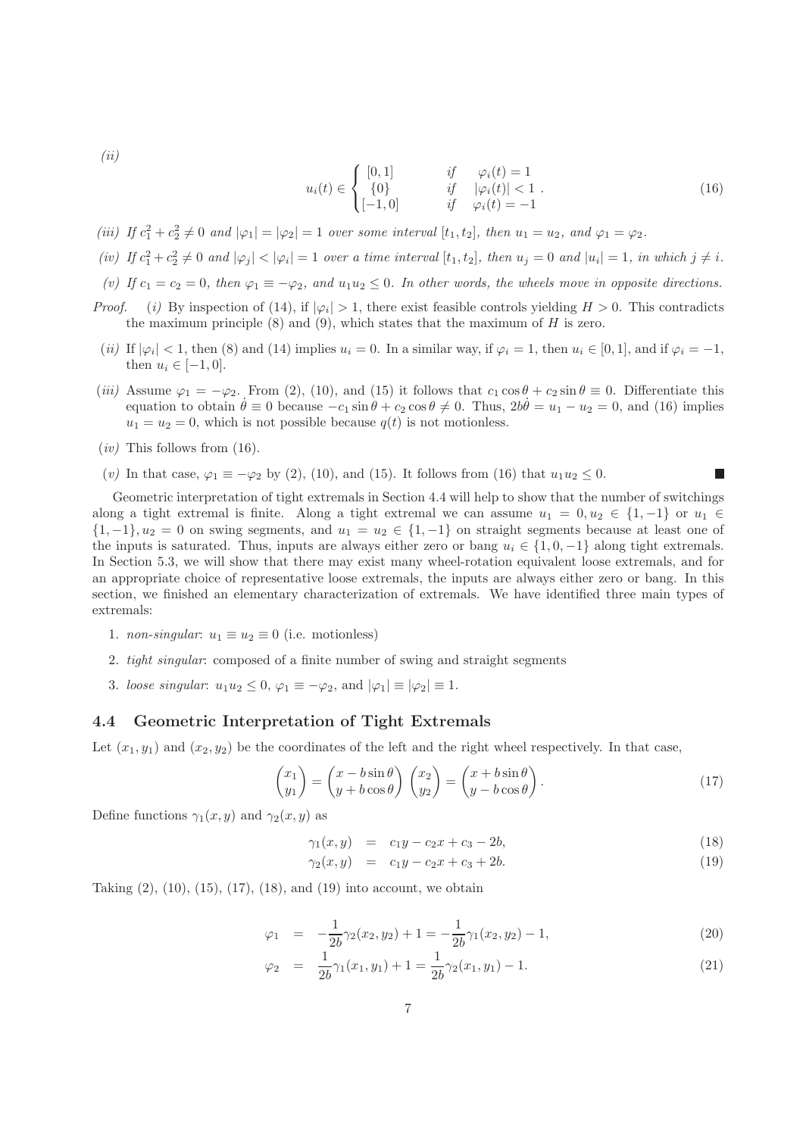$(ii)$ 

$$
u_i(t) \in \begin{cases} [0,1] & if \quad \varphi_i(t) = 1 \\ \{0\} & if \quad |\varphi_i(t)| < 1 \\ [-1,0] & if \quad \varphi_i(t) = -1 \end{cases}
$$
 (16)

- (iii) If  $c_1^2 + c_2^2 \neq 0$  and  $|\varphi_1| = |\varphi_2| = 1$  over some interval  $[t_1, t_2]$ , then  $u_1 = u_2$ , and  $\varphi_1 = \varphi_2$ .
- (iv) If  $c_1^2+c_2^2\neq 0$  and  $|\varphi_j|<|\varphi_i|=1$  over a time interval  $[t_1,t_2]$ , then  $u_j=0$  and  $|u_i|=1$ , in which  $j\neq i$ .
- (v) If  $c_1 = c_2 = 0$ , then  $\varphi_1 \equiv -\varphi_2$ , and  $u_1u_2 \leq 0$ . In other words, the wheels move in opposite directions.
- *Proof.* (i) By inspection of (14), if  $|\varphi_i| > 1$ , there exist feasible controls yielding  $H > 0$ . This contradicts the maximum principle  $(8)$  and  $(9)$ , which states that the maximum of H is zero.
- (*ii*) If  $|\varphi_i|$  < 1, then (8) and (14) implies  $u_i = 0$ . In a similar way, if  $\varphi_i = 1$ , then  $u_i \in [0,1]$ , and if  $\varphi_i = -1$ , then  $u_i \in [-1,0]$ .
- (iii) Assume  $\varphi_1 = -\varphi_2$ . From (2), (10), and (15) it follows that  $c_1 \cos \theta + c_2 \sin \theta \equiv 0$ . Differentiate this equation to obtain  $\dot{\theta} \equiv 0$  because  $-c_1 \sin \theta + c_2 \cos \theta \neq 0$ . Thus,  $2b\dot{\theta} = u_1 - u_2 = 0$ , and (16) implies  $u_1 = u_2 = 0$ , which is not possible because  $q(t)$  is not motionless.
- $(iv)$  This follows from  $(16)$ .
- (v) In that case,  $\varphi_1 \equiv -\varphi_2$  by (2), (10), and (15). It follows from (16) that  $u_1u_2 \leq 0$ .

Geometric interpretation of tight extremals in Section 4.4 will help to show that the number of switchings along a tight extremal is finite. Along a tight extremal we can assume  $u_1 = 0, u_2 \in \{1, -1\}$  or  $u_1 \in$  $\{1,-1\}, u_2 = 0$  on swing segments, and  $u_1 = u_2 \in \{1,-1\}$  on straight segments because at least one of the inputs is saturated. Thus, inputs are always either zero or bang  $u_i \in \{1, 0, -1\}$  along tight extremals. In Section 5.3, we will show that there may exist many wheel-rotation equivalent loose extremals, and for an appropriate choice of representative loose extremals, the inputs are always either zero or bang. In this section, we finished an elementary characterization of extremals. We have identified three main types of extremals:

- 1. non-singular:  $u_1 \equiv u_2 \equiv 0$  (i.e. motionless)
- 2. tight singular: composed of a finite number of swing and straight segments
- 3. loose singular:  $u_1u_2 \leq 0$ ,  $\varphi_1 \equiv -\varphi_2$ , and  $|\varphi_1| \equiv |\varphi_2| \equiv 1$ .

#### 4.4 Geometric Interpretation of Tight Extremals

Let  $(x_1, y_1)$  and  $(x_2, y_2)$  be the coordinates of the left and the right wheel respectively. In that case,

$$
\begin{pmatrix} x_1 \\ y_1 \end{pmatrix} = \begin{pmatrix} x - b\sin\theta \\ y + b\cos\theta \end{pmatrix} \begin{pmatrix} x_2 \\ y_2 \end{pmatrix} = \begin{pmatrix} x + b\sin\theta \\ y - b\cos\theta \end{pmatrix}.
$$
 (17)

Define functions  $\gamma_1(x, y)$  and  $\gamma_2(x, y)$  as

$$
\gamma_1(x, y) = c_1 y - c_2 x + c_3 - 2b, \tag{18}
$$

$$
\gamma_2(x, y) = c_1 y - c_2 x + c_3 + 2b. \tag{19}
$$

Taking  $(2)$ ,  $(10)$ ,  $(15)$ ,  $(17)$ ,  $(18)$ , and  $(19)$  into account, we obtain

$$
\varphi_1 = -\frac{1}{2b}\gamma_2(x_2, y_2) + 1 = -\frac{1}{2b}\gamma_1(x_2, y_2) - 1,\tag{20}
$$

$$
\varphi_2 = \frac{1}{2b} \gamma_1(x_1, y_1) + 1 = \frac{1}{2b} \gamma_2(x_1, y_1) - 1. \tag{21}
$$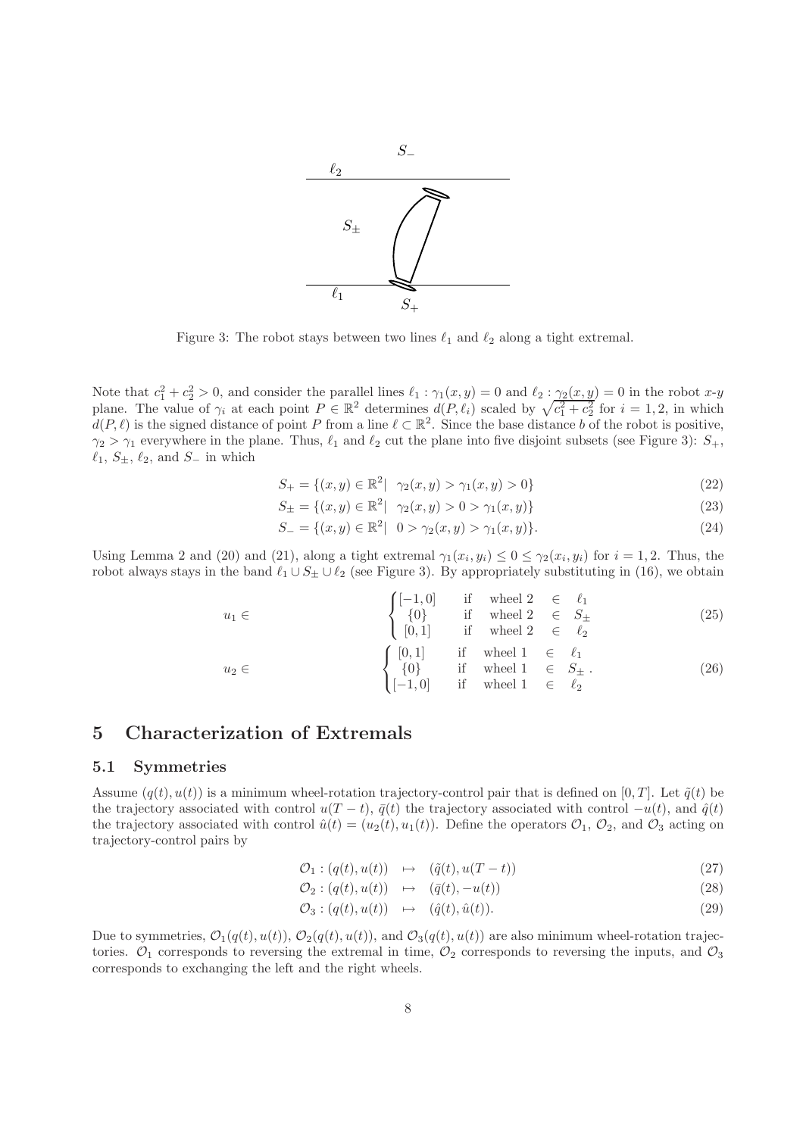

Figure 3: The robot stays between two lines  $\ell_1$  and  $\ell_2$  along a tight extremal.

Note that  $c_1^2 + c_2^2 > 0$ , and consider the parallel lines  $\ell_1 : \gamma_1(x, y) = 0$  and  $\ell_2 : \gamma_2(x, y) = 0$  in the robot  $x \cdot y$ plane. The value of  $\gamma_i$  at each point  $P \in \mathbb{R}^2$  determines  $d(P, \ell_i)$  scaled by  $\sqrt{c_1^2 + c_2^2}$  for  $i = 1, 2$ , in which  $d(P, \ell)$  is the signed distance of point P from a line  $\ell \subset \mathbb{R}^2$ . Since the base distance b of the robot is positive,  $\gamma_2 > \gamma_1$  everywhere in the plane. Thus,  $\ell_1$  and  $\ell_2$  cut the plane into five disjoint subsets (see Figure 3):  $S_+$ ,  $\ell_1, S_{\pm}, \ell_2$ , and  $S_{-}$  in which

$$
S_{+} = \{(x, y) \in \mathbb{R}^{2} | \gamma_{2}(x, y) > \gamma_{1}(x, y) > 0\}
$$
\n(22)

$$
S_{\pm} = \{(x, y) \in \mathbb{R}^2 | \gamma_2(x, y) > 0 > \gamma_1(x, y) \}
$$
\n(23)

$$
S_{-} = \{(x, y) \in \mathbb{R}^2 | \quad 0 > \gamma_2(x, y) > \gamma_1(x, y) \}. \tag{24}
$$

Using Lemma 2 and (20) and (21), along a tight extremal  $\gamma_1(x_i, y_i) \leq 0 \leq \gamma_2(x_i, y_i)$  for  $i = 1, 2$ . Thus, the robot always stays in the band  $\ell_1 \cup S_{\pm} \cup \ell_2$  (see Figure 3). By appropriately substituting in (16), we obtain

$$
u_{1} \in \begin{cases} [-1,0] & \text{if } \text{wheel } 2 \in \ell_{1} \\ \{0\} & \text{if } \text{wheel } 2 \in S_{\pm} \\ [0,1] & \text{if } \text{wheel } 2 \in \ell_{2} \\ \{0,1\} & \text{if } \text{wheel } 1 \in \ell_{1} \\ \{0\} & \text{if } \text{wheel } 1 \in S_{\pm} . \\ [-1,0] & \text{if } \text{wheel } 1 \in \ell_{2} \end{cases} (26)
$$

# 5 Characterization of Extremals

#### 5.1 Symmetries

Assume  $(q(t), u(t))$  is a minimum wheel-rotation trajectory-control pair that is defined on [0, T]. Let  $\tilde{q}(t)$  be the trajectory associated with control  $u(T - t)$ ,  $\bar{q}(t)$  the trajectory associated with control  $-u(t)$ , and  $\hat{q}(t)$ the trajectory associated with control  $\hat{u}(t) = (u_2(t), u_1(t))$ . Define the operators  $\mathcal{O}_1$ ,  $\mathcal{O}_2$ , and  $\mathcal{O}_3$  acting on trajectory-control pairs by

$$
\mathcal{O}_1: (q(t), u(t)) \quad \mapsto \quad (\tilde{q}(t), u(T-t)) \tag{27}
$$

$$
\mathcal{O}_2: (q(t), u(t)) \quad \mapsto \quad (\bar{q}(t), -u(t)) \tag{28}
$$

$$
\mathcal{O}_3: (q(t), u(t)) \quad \mapsto \quad (\hat{q}(t), \hat{u}(t)). \tag{29}
$$

Due to symmetries,  $\mathcal{O}_1(q(t), u(t))$ ,  $\mathcal{O}_2(q(t), u(t))$ , and  $\mathcal{O}_3(q(t), u(t))$  are also minimum wheel-rotation trajectories.  $\mathcal{O}_1$  corresponds to reversing the extremal in time,  $\mathcal{O}_2$  corresponds to reversing the inputs, and  $\mathcal{O}_3$ corresponds to exchanging the left and the right wheels.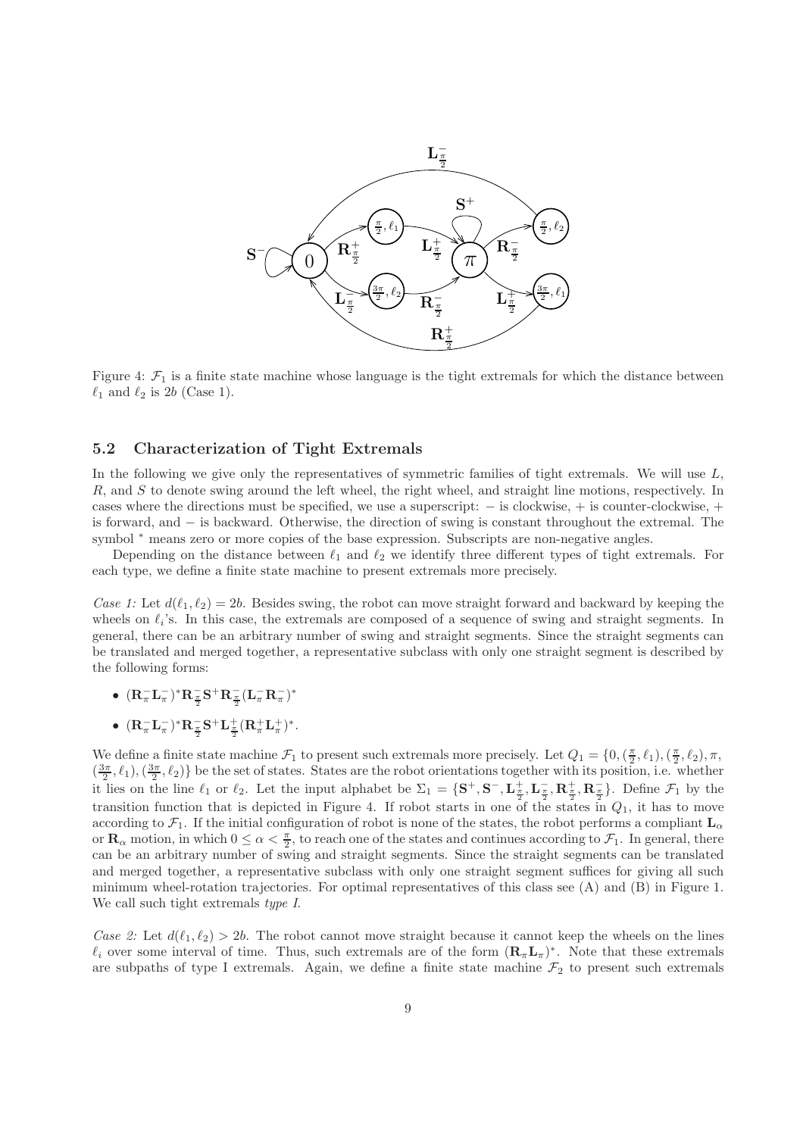

Figure 4:  $\mathcal{F}_1$  is a finite state machine whose language is the tight extremals for which the distance between  $\ell_1$  and  $\ell_2$  is 2b (Case 1).

#### 5.2 Characterization of Tight Extremals

In the following we give only the representatives of symmetric families of tight extremals. We will use  $L$ , R, and S to denote swing around the left wheel, the right wheel, and straight line motions, respectively. In cases where the directions must be specified, we use a superscript: − is clockwise, + is counter-clockwise, + is forward, and − is backward. Otherwise, the direction of swing is constant throughout the extremal. The symbol <sup>\*</sup> means zero or more copies of the base expression. Subscripts are non-negative angles.

Depending on the distance between  $\ell_1$  and  $\ell_2$  we identify three different types of tight extremals. For each type, we define a finite state machine to present extremals more precisely.

Case 1: Let  $d(\ell_1, \ell_2) = 2b$ . Besides swing, the robot can move straight forward and backward by keeping the wheels on  $\ell_i$ 's. In this case, the extremals are composed of a sequence of swing and straight segments. In general, there can be an arbitrary number of swing and straight segments. Since the straight segments can be translated and merged together, a representative subclass with only one straight segment is described by the following forms:

- $({\bf R}_\pi^- {\bf L}_\pi^-)^* {\bf R}_{\frac{\pi}{2}}^- {\bf S}^+ {\bf R}_{\frac{\pi}{2}}^- ({\bf L}_\pi^- {\bf R}_\pi^-)^*$
- $({\bf R}_\pi^- {\bf L}_\pi^-)^* {\bf R}_{{\pi\over 2}}^- {\bf S}^+ {\bf L}_{{\pi\over 2}}^+ ({\bf R}_\pi^+ {\bf L}_\pi^+)^*.$

We define a finite state machine  $\mathcal{F}_1$  to present such extremals more precisely. Let  $Q_1 = \{0, (\frac{\pi}{2}, \ell_1), (\frac{\pi}{2}, \ell_2), \pi, (\frac{\pi}{2}, \ell_1)\}$  $(\frac{3\pi}{2}, \ell_1), (\frac{3\pi}{2}, \ell_2)$  be the set of states. States are the robot orientations together with its position, i.e. whether it lies on the line  $\ell_1$  or  $\ell_2$ . Let the input alphabet be  $\Sigma_1 = \{S^+, S^-, L^{\pm}_{\frac{\pi}{2}}, L^{\pm}_{\frac{\pi}{2}}, R^{\pm}_{\frac{\pi}{2}}, R^{\pm}_{\frac{\pi}{2}}\}$ . Define  $\mathcal{F}_1$  by the transition function that is depicted in Figure 4. If robot starts in one of the states in  $Q_1$ , it has to move according to  $\mathcal{F}_1$ . If the initial configuration of robot is none of the states, the robot performs a compliant  $L_{\alpha}$ or  $\mathbf{R}_{\alpha}$  motion, in which  $0 \leq \alpha < \frac{\pi}{2}$ , to reach one of the states and continues according to  $\mathcal{F}_1$ . In general, there can be an arbitrary number of swing and straight segments. Since the straight segments can be translated and merged together, a representative subclass with only one straight segment suffices for giving all such minimum wheel-rotation trajectories. For optimal representatives of this class see (A) and (B) in Figure 1. We call such tight extremals *type I*.

Case 2: Let  $d(\ell_1, \ell_2) > 2b$ . The robot cannot move straight because it cannot keep the wheels on the lines  $\ell_i$  over some interval of time. Thus, such extremals are of the form  $(\mathbf{R}_{\pi}\mathbf{L}_{\pi})^*$ . Note that these extremals are subpaths of type I extremals. Again, we define a finite state machine  $\mathcal{F}_2$  to present such extremals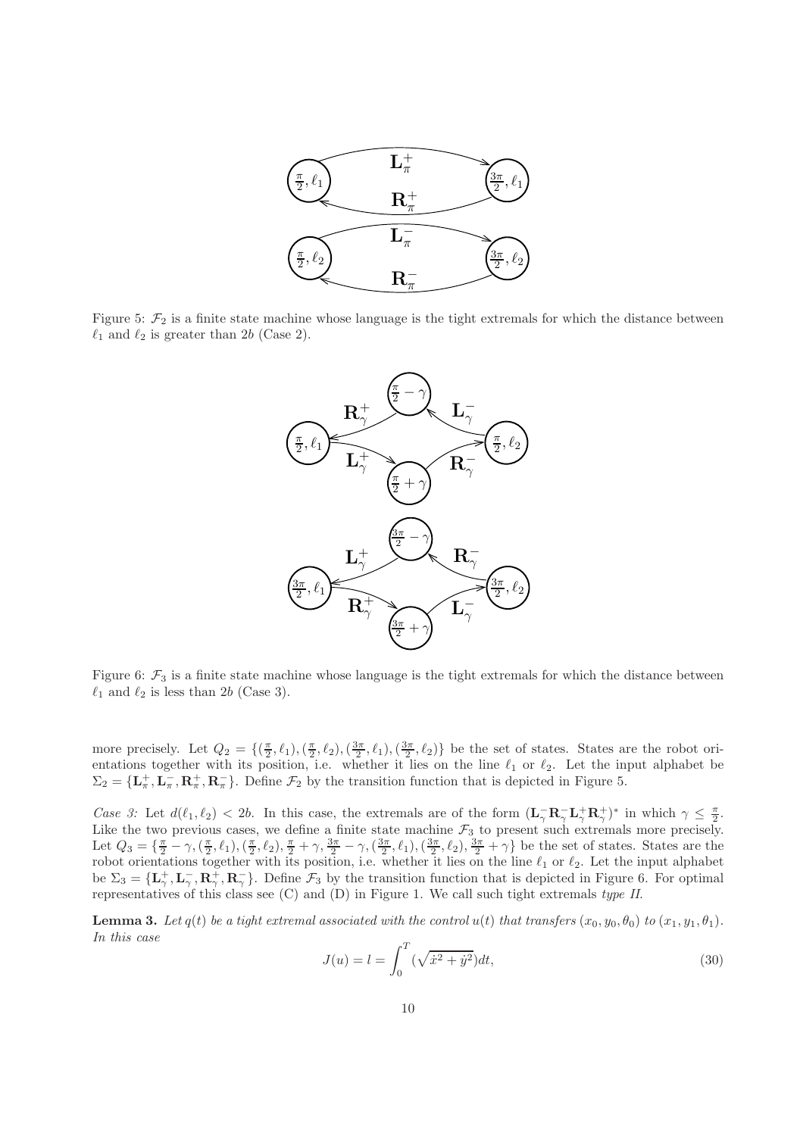

Figure 5:  $\mathcal{F}_2$  is a finite state machine whose language is the tight extremals for which the distance between  $\ell_1$  and  $\ell_2$  is greater than 2b (Case 2).



Figure 6:  $\mathcal{F}_3$  is a finite state machine whose language is the tight extremals for which the distance between  $\ell_1$  and  $\ell_2$  is less than 2b (Case 3).

more precisely. Let  $Q_2 = \{(\frac{\pi}{2}, \ell_1),(\frac{\pi}{2}, \ell_2),(\frac{3\pi}{2}, \ell_1),(\frac{3\pi}{2}, \ell_2)\}\$ be the set of states. States are the robot orientations together with its position, i.e. whether it lies on the line  $\ell_1$  or  $\ell_2$ . Let the input alphabet be  $\Sigma_2 = {\mathbf{L}_{\pi}^+, \mathbf{L}_{\pi}^-, \mathbf{R}_{\pi}^+, \mathbf{R}_{\pi}^-}$ . Define  $\mathcal{F}_2$  by the transition function that is depicted in Figure 5.

Case 3: Let  $d(\ell_1, \ell_2) < 2b$ . In this case, the extremals are of the form  $(\mathbf{L}_{\gamma}^{-} \mathbf{R}_{\gamma}^{-} \mathbf{L}_{\gamma}^{+} \mathbf{R}_{\gamma}^{+})^*$  in which  $\gamma \leq \frac{\pi}{2}$ . Like the two previous cases, we define a finite state machine  $\mathcal{F}_3$  to present such extremals more precisely. Let  $Q_3 = {\frac{\pi}{2} - \gamma, (\frac{\pi}{2}, \ell_1), (\frac{\pi}{2}, \ell_2), \frac{\pi}{2} + \gamma, \frac{3\pi}{2} - \gamma, (\frac{3\pi}{2}, \ell_1), (\frac{3\pi}{2}, \ell_2), \frac{3\pi}{2} + \gamma}$  be the set of states. States are the robot orientations together with its position, i.e. whether it lies on the line  $\ell_1$  or  $\ell_2$ . Let the input alphabet be  $\Sigma_3 = {\{\mathbf{L}_\gamma^+, \mathbf{L}_\gamma^-, \mathbf{R}_\gamma^+, \mathbf{R}_\gamma^-\}}$ . Define  $\mathcal{F}_3$  by the transition function that is depicted in Figure 6. For optimal representatives of this class see (C) and (D) in Figure 1. We call such tight extremals type II.

**Lemma 3.** Let  $q(t)$  be a tight extremal associated with the control  $u(t)$  that transfers  $(x_0, y_0, \theta_0)$  to  $(x_1, y_1, \theta_1)$ . In this case

$$
J(u) = l = \int_0^T (\sqrt{\dot{x}^2 + \dot{y}^2}) dt,
$$
\n(30)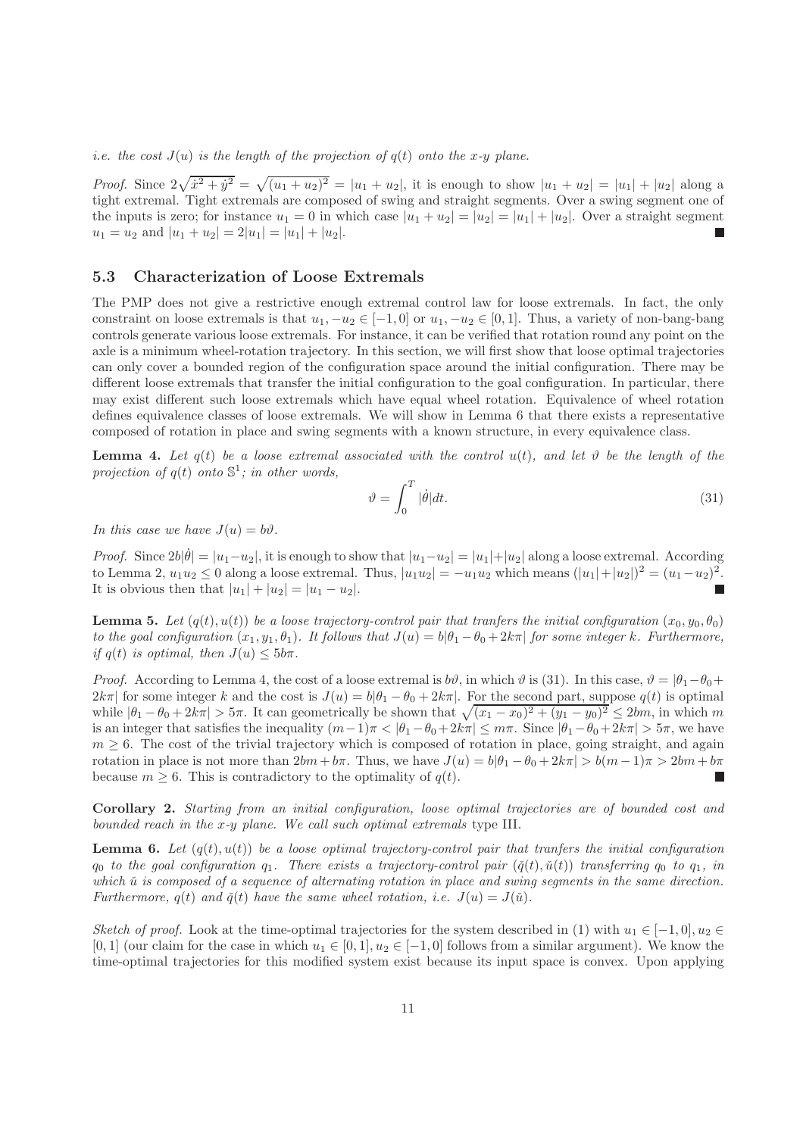*i.e.* the cost  $J(u)$  is the length of the projection of  $q(t)$  onto the x-y plane.

*Proof.* Since  $2\sqrt{\dot{x}^2 + \dot{y}^2} = \sqrt{(u_1 + u_2)^2} = |u_1 + u_2|$ , it is enough to show  $|u_1 + u_2| = |u_1| + |u_2|$  along a tight extremal. Tight extremals are composed of swing and straight segments. Over a swing segment one of the inputs is zero; for instance  $u_1 = 0$  in which case  $|u_1 + u_2| = |u_2| = |u_1| + |u_2|$ . Over a straight segment  $u_1 = u_2$  and  $|u_1 + u_2| = 2|u_1| = |u_1| + |u_2|$ .

#### 5.3 Characterization of Loose Extremals

The PMP does not give a restrictive enough extremal control law for loose extremals. In fact, the only constraint on loose extremals is that  $u_1, -u_2 \in [-1, 0]$  or  $u_1, -u_2 \in [0, 1]$ . Thus, a variety of non-bang-bang controls generate various loose extremals. For instance, it can be verified that rotation round any point on the axle is a minimum wheel-rotation trajectory. In this section, we will first show that loose optimal trajectories can only cover a bounded region of the configuration space around the initial configuration. There may be different loose extremals that transfer the initial configuration to the goal configuration. In particular, there may exist different such loose extremals which have equal wheel rotation. Equivalence of wheel rotation defines equivalence classes of loose extremals. We will show in Lemma 6 that there exists a representative composed of rotation in place and swing segments with a known structure, in every equivalence class.

**Lemma 4.** Let  $q(t)$  be a loose extremal associated with the control  $u(t)$ , and let  $\vartheta$  be the length of the projection of  $q(t)$  onto  $\mathbb{S}^1$ ; in other words,

$$
\vartheta = \int_0^T |\dot{\theta}| dt. \tag{31}
$$

In this case we have  $J(u) = b\vartheta$ .

*Proof.* Since  $2b|\dot{\theta}| = |u_1 - u_2|$ , it is enough to show that  $|u_1 - u_2| = |u_1| + |u_2|$  along a loose extremal. According to Lemma 2,  $u_1 u_2 \le 0$  along a loose extremal. Thus,  $|u_1 u_2| = -u_1 u_2$  which means  $(|u_1| + |u_2|)^2 = (u_1 - u_2)^2$ . It is obvious then that  $|u_1| + |u_2| = |u_1 - u_2|$ .

**Lemma 5.** Let  $(q(t), u(t))$  be a loose trajectory-control pair that tranfers the initial configuration  $(x_0, y_0, \theta_0)$ to the goal configuration  $(x_1, y_1, \theta_1)$ . It follows that  $J(u) = b|\theta_1 - \theta_0 + 2k\pi|$  for some integer k. Furthermore, if  $q(t)$  is optimal, then  $J(u) \leq 5b\pi$ .

*Proof.* According to Lemma 4, the cost of a loose extremal is  $b\vartheta$ , in which  $\vartheta$  is (31). In this case,  $\vartheta = |\theta_1 - \theta_0 + \theta_1|$  $2k\pi$  for some integer k and the cost is  $J(u) = b|\theta_1 - \theta_0 + 2k\pi|$ . For the second part, suppose  $q(t)$  is optimal while  $|\theta_1 - \theta_0 + 2k\pi| > 5\pi$ . It can geometrically be shown that  $\sqrt{(x_1 - x_0)^2 + (y_1 - y_0)^2} \le 2bm$ , in which m is an integer that satisfies the inequality  $(m-1)\pi < |\theta_1 - \theta_0 + 2k\pi| \leq m\pi$ . Since  $|\theta_1 - \theta_0 + 2k\pi| > 5\pi$ , we have  $m \geq 6$ . The cost of the trivial trajectory which is composed of rotation in place, going straight, and again rotation in place is not more than  $2bm + b\pi$ . Thus, we have  $J(u) = b|\theta_1 - \theta_0 + 2k\pi| > b(m-1)\pi > 2bm + b\pi$ because  $m > 6$ . This is contradictory to the optimality of  $q(t)$ .

Corollary 2. Starting from an initial configuration, loose optimal trajectories are of bounded cost and bounded reach in the x-y plane. We call such optimal extremals type III.

**Lemma 6.** Let  $(q(t), u(t))$  be a loose optimal trajectory-control pair that tranfers the initial configuration  $q_0$  to the goal configuration  $q_1$ . There exists a trajectory-control pair  $(\check{q}(t), \check{u}(t))$  transferring  $q_0$  to  $q_1$ , in which  $\check{u}$  is composed of a sequence of alternating rotation in place and swing segments in the same direction. Furthermore,  $q(t)$  and  $\check{q}(t)$  have the same wheel rotation, i.e.  $J(u) = J(\check{u})$ .

Sketch of proof. Look at the time-optimal trajectories for the system described in (1) with  $u_1 \in [-1, 0], u_2 \in$ [0, 1] (our claim for the case in which  $u_1 \in [0, 1], u_2 \in [-1, 0]$  follows from a similar argument). We know the time-optimal trajectories for this modified system exist because its input space is convex. Upon applying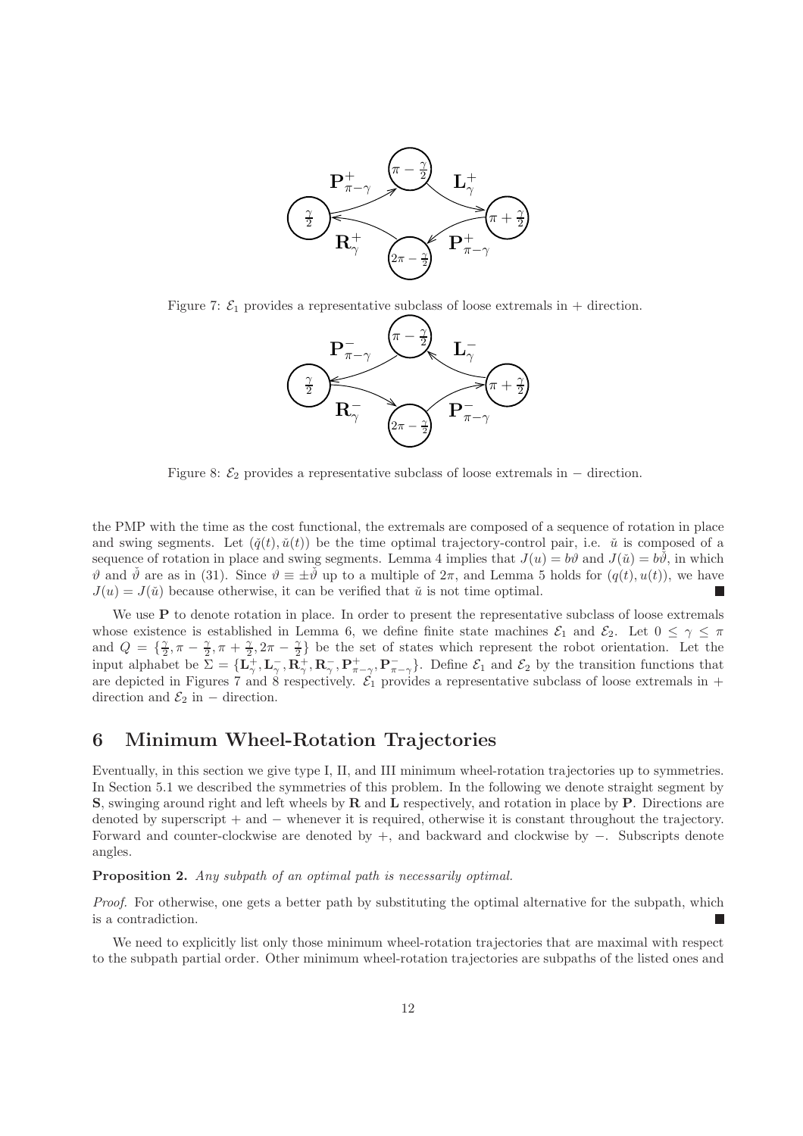

Figure 7:  $\mathcal{E}_1$  provides a representative subclass of loose extremals in + direction.



Figure 8:  $\mathcal{E}_2$  provides a representative subclass of loose extremals in  $-$  direction.

the PMP with the time as the cost functional, the extremals are composed of a sequence of rotation in place and swing segments. Let  $(\check{q}(t), \check{u}(t))$  be the time optimal trajectory-control pair, i.e.  $\check{u}$  is composed of a sequence of rotation in place and swing segments. Lemma 4 implies that  $J(u) = b\vartheta$  and  $J(\tilde{u}) = b\tilde{\vartheta}$ , in which  $\vartheta$  and  $\check{\vartheta}$  are as in (31). Since  $\vartheta \equiv \pm \check{\vartheta}$  up to a multiple of  $2\pi$ , and Lemma 5 holds for  $(q(t), u(t))$ , we have  $J(u) = J(\tilde{u})$  because otherwise, it can be verified that  $\tilde{u}$  is not time optimal.

We use **P** to denote rotation in place. In order to present the representative subclass of loose extremals whose existence is established in Lemma 6, we define finite state machines  $\mathcal{E}_1$  and  $\mathcal{E}_2$ . Let  $0 \leq \gamma \leq \pi$ and  $Q = \{\frac{\gamma}{2} \}$  $\frac{\gamma}{2}, \pi - \frac{\gamma}{2}$  $\frac{\gamma}{2}, \pi + \frac{\gamma}{2}$  $\frac{\gamma}{2}, 2\pi - \frac{\gamma}{2}$  $\frac{\gamma}{2}$  be the set of states which represent the robot orientation. Let the input alphabet be  $\mathbf{\Sigma} = {\mathbf{L}_{\gamma}^{\perp}, \mathbf{L}_{\gamma}^{\perp}, \mathbf{R}_{\gamma}^{\perp}, \mathbf{R}_{\gamma}^{\perp}, \mathbf{P}_{\pi-\gamma}^{\perp}, \mathbf{P}_{\pi-\gamma}^{\perp}}$ . Define  $\mathcal{E}_1$  and  $\mathcal{E}_2$  by the transition functions that are depicted in Figures 7 and 8 respectively.  $\mathcal{E}_1$  provides a representative subclass of loose extremals in + direction and  $\mathcal{E}_2$  in – direction.

# 6 Minimum Wheel-Rotation Trajectories

Eventually, in this section we give type I, II, and III minimum wheel-rotation trajectories up to symmetries. In Section 5.1 we described the symmetries of this problem. In the following we denote straight segment by S, swinging around right and left wheels by R and L respectively, and rotation in place by P. Directions are denoted by superscript + and − whenever it is required, otherwise it is constant throughout the trajectory. Forward and counter-clockwise are denoted by +, and backward and clockwise by −. Subscripts denote angles.

#### Proposition 2. Any subpath of an optimal path is necessarily optimal.

Proof. For otherwise, one gets a better path by substituting the optimal alternative for the subpath, which is a contradiction.

We need to explicitly list only those minimum wheel-rotation trajectories that are maximal with respect to the subpath partial order. Other minimum wheel-rotation trajectories are subpaths of the listed ones and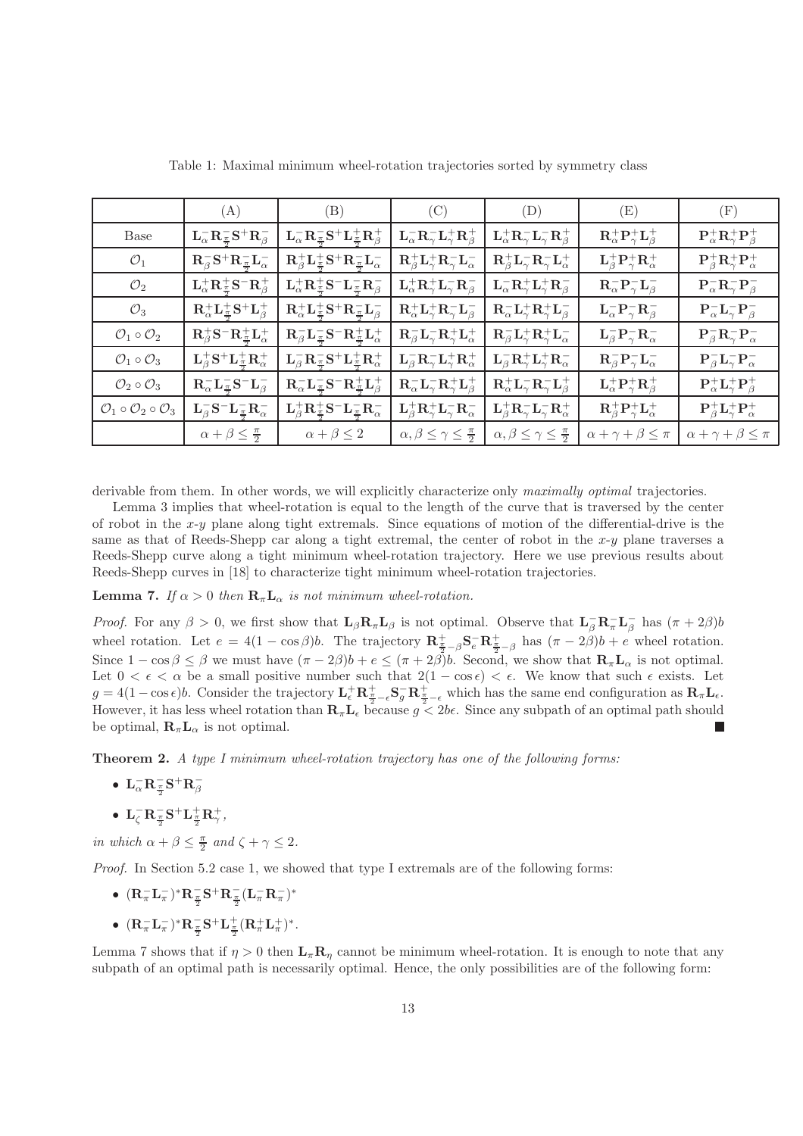|                                                         | (A)                                                                                         | (B)                                                                                                                        | (C)                                                                                          | (D)                                                                                          | (E)                                                                      | (F)                                                 |
|---------------------------------------------------------|---------------------------------------------------------------------------------------------|----------------------------------------------------------------------------------------------------------------------------|----------------------------------------------------------------------------------------------|----------------------------------------------------------------------------------------------|--------------------------------------------------------------------------|-----------------------------------------------------|
| Base                                                    | ${\mathbf L}^-_{\alpha}{\mathbf R}^-_{\frac{\pi}{2}}{\mathbf S}^+{\mathbf R}^-_{\beta}$     | ${\mathbf L}^-_{\alpha}{\mathbf R}^-_{\frac{\pi}{2}}\mathbf{S}^+{\mathbf L}^+_{\frac{\pi}{2}}{\mathbf R}^+_{\beta}$        | ${\mathbf L}^-_{\alpha}{\mathbf R}^-_{\gamma}{\mathbf L}^+_{\gamma}{\mathbf R}^+_{\beta}$    | ${\mathbf L}^+_\alpha {\mathbf R}^-_\gamma {\mathbf L}^-_\gamma {\mathbf R}^+_\beta$         | ${\rm R}^+_{\alpha}{\rm P}^+_{\gamma}{\rm L}^+_{\beta}$                  | ${\bf P}^+_\alpha {\bf R}^+_\gamma {\bf P}^+_\beta$ |
| $\mathcal{O}_1$                                         | ${\bf R}^-_\beta {\bf S}^+ {\bf R}^-_{\frac{\pi}{2}} {\bf L}_\alpha^-$                      | $\mathbf{R}_{\beta}^{+}\mathbf{L}_{\frac{\pi}{2}}^{+}\mathbf{S}^{+}\mathbf{R}_{\frac{\pi}{2}}^{-}\mathbf{L}_{\alpha}^{-}$  | $\mathbf{R}^+_\beta \mathbf{L}^+_\gamma \mathbf{R}^-_\gamma \mathbf{L}^-_\alpha$             | ${\bf R}^+_\beta {\bf L}^-_\gamma {\bf R}^-_\gamma {\bf L}^+_\alpha$                         | ${\mathbf L}^+_\beta\mathbf{P}^+_\gamma\mathbf{R}^+_\alpha$              | ${\bf P}^+_\beta {\bf R}^+_\gamma {\bf P}^+_\alpha$ |
| $\mathcal{O}_2$                                         | ${\mathbf L}^+_{\alpha}{\mathbf R}^+_{\frac{\pi}{2}}{\mathbf S}^-{\mathbf R}^+_{\beta}$     | ${\mathbf L}^+_{\alpha}{\mathbf R}^+_{\frac{\pi}{2}}\mathbf{S}^-{\mathbf L}^-_{\frac{\pi}{2}}{\mathbf R}^-_{\beta}$        | ${\mathbf L}^+_\alpha {\mathbf R}^+_\gamma {\mathbf L}^-_\gamma {\mathbf R}^-_\beta$         | ${\mathbf L}^-_{\alpha}{\mathbf R}^+_{\gamma}{\mathbf L}^+_{\gamma}{\mathbf R}^-_{\beta}$    | $\mathbf{R}_{\alpha}^{-} \mathbf{P}_{\gamma}^{-} \mathbf{L}_{\beta}^{-}$ | $P_{\alpha}^- R_{\gamma}^- P_{\beta}^-$             |
| $\mathcal{O}_3$                                         | $\mathbf{R}^+_\alpha \mathbf{L}^+_{\frac{\pi}{2}} \mathbf{S}^+ \mathbf{L}^+_\beta$          | $\mathbf{R}^+_{\alpha} \mathbf{L}^+_{\frac{\pi}{2}} \mathbf{S}^+ \mathbf{R}^-_{\frac{\pi}{2}} \mathbf{L}^-_{\beta}$        | $\mathbf{R}^+_\alpha \mathbf{L}^+_\gamma \mathbf{R}^-_\gamma \mathbf{L}^-_\beta$             | ${\bf R}^-_\alpha {\bf L}^+_\gamma {\bf R}^+_\gamma {\bf L}^-_\beta$                         | ${\mathbf L}^-_{\alpha}{\mathbf P}^-_{\gamma}{\mathbf R}^-_{\beta}$      | $P_{\alpha}^- L_{\gamma}^- P_{\beta}^-$             |
| $\mathcal{O}_1 \circ \mathcal{O}_2$                     | $\mathbf{R}^+_{\beta} \mathbf{S}^- \mathbf{R}^+_{\frac{\pi}{2}} \mathbf{L}^+_{\alpha}$      | $\mathbf{R}_{\beta}^{-}\mathbf{L}_{\frac{\pi}{2}}^{-}\mathbf{S}^{-}\mathbf{R}_{\frac{\pi}{2}}^{+}\mathbf{L}_{\alpha}^{+}$  | ${\bf R}^-_\beta {\bf L}^-_\gamma {\bf R}^+_\gamma {\bf L}^+_\alpha$                         | ${\bf R}^-_\beta {\bf L}^+_\gamma {\bf R}^+_\gamma {\bf L}^-_\alpha$                         | ${\rm L}_\beta^- {\rm P}_\gamma^- {\rm R}_\alpha^-$                      | $P_{\beta}^- R_{\gamma}^- P_{\alpha}^-$             |
| $\mathcal{O}_1 \circ \mathcal{O}_3$                     | ${\mathbf L}^+_{\beta}{\mathbf S}^+{\mathbf L}^+_{\frac{\pi}{2}}{\mathbf R}^+_{\alpha}$     | ${\color{red} \mathbf{L}_\beta^- \mathbf{R}_\frac{\pi}{2}^- \mathbf{S}^+ \mathbf{L}_\frac{\pi}{2}^+ \mathbf{R}_\alpha^+ }$ | ${\mathbf L}^-_{\beta} {\mathbf R}^-_{\gamma} {\mathbf L}^+_{\gamma} {\mathbf R}^+_{\alpha}$ | ${\mathbf L}^-_{\beta} {\mathbf R}^+_{\gamma} {\mathbf L}^+_{\gamma} {\mathbf R}^-_{\alpha}$ | ${\bf R}_\beta^- {\bf P}_\gamma^- {\bf L}_\alpha^-$                      | ${\bf P}_\beta^- {\bf L}_\gamma^- {\bf P}_\alpha^-$ |
| $\mathcal{O}_2\circ\mathcal{O}_3$                       | $\mathbf{R}_{\alpha}^{-}\mathbf{L}_{\frac{\pi}{2}}^{-}\mathbf{S}^{-}\mathbf{L}_{\beta}^{-}$ | $\mathbf{R}_{\alpha}^{-}\mathbf{L}_{\frac{\pi}{2}}^{-}\mathbf{S}^{-}\mathbf{R}_{\frac{\pi}{2}}^{+}\mathbf{L}_{\beta}^{+}$  | ${\bf R}^-_\alpha {\bf L}^-_\gamma {\bf R}^+_\gamma {\bf L}^+_\beta$                         | ${\bf R}^+_{\alpha}{\bf L}^-_{\gamma}{\bf R}^-_{\gamma}{\bf L}^+_{\beta}$                    | ${\mathbf L}^+_{\alpha}{\mathbf P}^+_{\gamma}{\mathbf R}^+_{\beta}$      | ${\bf P}^+_\alpha {\bf L}^+_\gamma {\bf P}^+_\beta$ |
| $\mathcal{O}_1 \circ \mathcal{O}_2 \circ \mathcal{O}_3$ | ${\mathbf L}^-_{\beta} {\mathbf S}^- {\mathbf L}^-_{\frac{\pi}{2}} {\mathbf R}^-_{\alpha}$  | ${\mathbf L}^+_{\beta}{\mathbf R}^+_{\frac{\pi}{2}}{\mathbf S}^-{\mathbf L}^-_{\frac{\pi}{2}}{\mathbf R}^-_{\alpha}$       | ${\mathbf L}^+_\beta {\mathbf R}^+_\gamma {\mathbf L}^-_\gamma {\mathbf R}^-_\alpha$         | ${\mathbf L}^+_\beta {\mathbf R}^-_\gamma {\mathbf L}^-_\gamma {\mathbf R}^+_\alpha$         | ${\bf R}^+_\beta {\bf P}^+_\gamma {\bf L}^+_\alpha$                      | ${\bf P}^+_\beta {\bf L}^+_\gamma {\bf P}^+_\alpha$ |
|                                                         | $\alpha + \beta \leq \frac{\pi}{2}$                                                         | $\alpha + \beta \leq 2$                                                                                                    | $\alpha, \beta \leq \gamma \leq \frac{\pi}{2}$                                               | $\alpha, \beta \leq \gamma \leq \frac{\pi}{2}$                                               | $\alpha + \gamma + \beta \leq \pi$                                       | $\alpha + \gamma + \beta \leq \pi$                  |

Table 1: Maximal minimum wheel-rotation trajectories sorted by symmetry class

derivable from them. In other words, we will explicitly characterize only maximally optimal trajectories.

Lemma 3 implies that wheel-rotation is equal to the length of the curve that is traversed by the center of robot in the x-y plane along tight extremals. Since equations of motion of the differential-drive is the same as that of Reeds-Shepp car along a tight extremal, the center of robot in the  $x-y$  plane traverses a Reeds-Shepp curve along a tight minimum wheel-rotation trajectory. Here we use previous results about Reeds-Shepp curves in [18] to characterize tight minimum wheel-rotation trajectories.

#### **Lemma 7.** If  $\alpha > 0$  then  $\mathbf{R}_{\pi} \mathbf{L}_{\alpha}$  is not minimum wheel-rotation.

*Proof.* For any  $\beta > 0$ , we first show that  $\mathbf{L}_{\beta} \mathbf{R}_{\pi} \mathbf{L}_{\beta}$  is not optimal. Observe that  $\mathbf{L}_{\beta}^- \mathbf{R}_{\pi}^- \mathbf{L}_{\beta}^ \frac{\pi}{\beta}$  has  $(\pi + 2\beta)b$ wheel rotation. Let  $e = 4(1 - \cos \beta)b$ . The trajectory  $\mathbf{R}_{\frac{\pi}{2} - \beta}^+ \mathbf{S}_e^- \mathbf{R}_{\frac{\pi}{2} - \beta}^+$  has  $(\pi - 2\beta)b + e$  wheel rotation. Since  $1 - \cos \beta \le \beta$  we must have  $(\pi - 2\beta)b + e \le (\pi + 2\beta)b$ . Second, we show that  $\mathbf{R}_{\pi} \mathbf{L}_{\alpha}$  is not optimal. Let  $0 < \epsilon < \alpha$  be a small positive number such that  $2(1 - \cos \epsilon) < \epsilon$ . We know that such  $\epsilon$  exists. Let  $g = 4(1-\cos\epsilon)b$ . Consider the trajectory  $\mathbf{L}_{\epsilon}^{+}\mathbf{R}_{\frac{\pi}{2}-\epsilon}^{+}\mathbf{S}_{g}^{-}\mathbf{R}_{\frac{\pi}{2}-\epsilon}^{+}$  which has the same end configuration as  $\mathbf{R}_{\pi}\mathbf{L}_{\epsilon}$ . However, it has less wheel rotation than  $\mathbf{R}_{\pi} \mathbf{L}_{\epsilon}$  because  $g < 2b\epsilon$ . Since any subpath of an optimal path should be optimal,  $\mathbf{R}_{\pi} \mathbf{L}_{\alpha}$  is not optimal.

Theorem 2. A type I minimum wheel-rotation trajectory has one of the following forms:

- $\mathbf{L}_{\alpha}^{-} \mathbf{R}_{\frac{\pi}{2}}^{-} \mathbf{S}^{+} \mathbf{R}_{\beta}^{-}$
- ${\bf L}^-_{\zeta} {\bf R}^-_{\frac{\pi}{2}} {\bf S}^+ {\bf L}^+_{\frac{\pi}{2}} {\bf R}^+_{\gamma},$

in which  $\alpha + \beta \leq \frac{\pi}{2}$  and  $\zeta + \gamma \leq 2$ .

Proof. In Section 5.2 case 1, we showed that type I extremals are of the following forms:

- $({\bf R}_\pi^-{\bf L}_\pi^-)^*{\bf R}_{\frac{\pi}{2}}^-{\bf S}^+{\bf R}_{\frac{\pi}{2}}^-({\bf L}_\pi^-{\bf R}_\pi^-)^*$
- $({\bf R}_\pi^- {\bf L}_\pi^-)^* {\bf R}_{{\frac{\pi}{2}}}^- {\bf S}^+ {\bf L}_{{\frac{\pi}{2}}}^+ ({\bf R}_\pi^+ {\bf L}_\pi^+)^*.$

Lemma 7 shows that if  $\eta > 0$  then  $\mathbf{L}_{\pi} \mathbf{R}_{\eta}$  cannot be minimum wheel-rotation. It is enough to note that any subpath of an optimal path is necessarily optimal. Hence, the only possibilities are of the following form: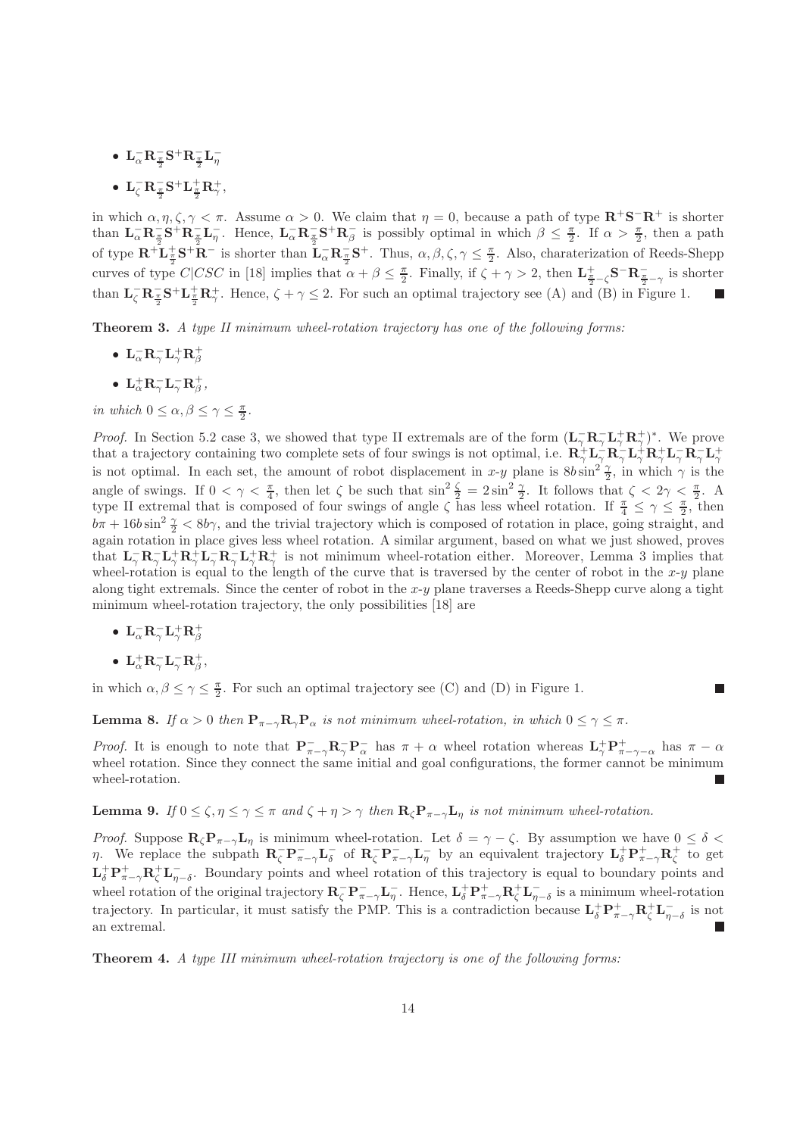- ${\bf L}_{\alpha}^- {\bf R}_{\frac{\pi}{2}}^- {\bf S}^+ {\bf R}_{\frac{\pi}{2}}^- {\bf L}_{\eta}^-$
- ${\bf L}^-_{\zeta} {\bf R}^-_{\frac{\pi}{2}} {\bf S}^+ {\bf L}^+_{\frac{\pi}{2}} {\bf R}^+_{\gamma},$

in which  $\alpha, \eta, \zeta, \gamma < \pi$ . Assume  $\alpha > 0$ . We claim that  $\eta = 0$ , because a path of type  $\mathbb{R}^+ \mathbb{S}^- \mathbb{R}^+$  is shorter than  $\mathbf{L}_{\alpha}^{-} \mathbf{R}_{\frac{\pi}{2}}^{-} \mathbf{S}^{\perp} \mathbf{R}_{\frac{\pi}{2}}^{-} \mathbf{L}_{\eta}^{-}$ . Hence,  $\mathbf{L}_{\alpha}^{-} \mathbf{R}_{\frac{\pi}{2}}^{-} \mathbf{S}^{+} \mathbf{R}_{\beta}^{-}$  $\frac{\pi}{\beta}$  is possibly optimal in which  $\beta \leq \frac{\pi}{2}$ . If  $\alpha > \frac{\pi}{2}$ , then a path of type  $\mathbf{R}^+ \mathbf{L}^+_{\frac{\pi}{2}} \mathbf{S}^+ \mathbf{R}^-$  is shorter than  $\mathbf{L}^-_{\alpha} \mathbf{R}^-_{\frac{\pi}{2}} \mathbf{S}^+$ . Thus,  $\alpha, \beta, \zeta, \gamma \leq \frac{\pi}{2}$ . Also, charaterization of Reeds-Shepp curves of type  $C|CSC$  in [18] implies that  $\alpha + \beta \leq \frac{\pi}{2}$ . Finally, if  $\zeta + \gamma > 2$ , then  $\mathbf{L}^{\pm}_{\frac{\pi}{2}-\zeta}$  S<sup>-</sup> $\mathbf{R}^{-}_{\frac{\pi}{2}-\gamma}$  is shorter than  $\mathbf{L}_{\zeta}^{-} \mathbf{R}_{\frac{\pi}{2}}^{-} \mathbf{S}^{+} \mathbf{L}_{\frac{\pi}{2}}^{+} \mathbf{R}_{\gamma}^{+}$ . Hence,  $\zeta + \gamma \leq 2$ . For such an optimal trajectory see (A) and (B) in Figure 1.

Theorem 3. A type II minimum wheel-rotation trajectory has one of the following forms:

- $\bullet$   ${\mathbf L}^-_{\alpha}{\mathbf R}^-_{\gamma} {\mathbf L}^+_{\gamma} {\mathbf R}^+_{\beta}$
- ${\bf L}^+_{\alpha}{\bf R}^-_{\gamma}{\bf L}^-_{\gamma}{\bf R}^+_{\beta}$

in which  $0 \leq \alpha, \beta \leq \gamma \leq \frac{\pi}{2}$ .

*Proof.* In Section 5.2 case 3, we showed that type II extremals are of the form  $(\mathbf{L}_{\gamma}^{-} \mathbf{R}_{\gamma}^{-} \mathbf{L}_{\gamma}^{+} \mathbf{R}_{\gamma}^{+})^*$ . We prove that a trajectory containing two complete sets of four swings is not optimal, i.e.  $\mathbf{R}_\gamma^+ \mathbf{L}_\gamma^- \mathbf{R}_\gamma^- \mathbf{L}_\gamma^+ \mathbf{R}_\gamma^+ \mathbf{L}_\gamma^- \mathbf{R}_\gamma^- \mathbf{L}_\gamma^+$ is not optimal. In each set, the amount of robot displacement in x-y plane is  $8b \sin^2 \frac{\gamma}{2}$ , in which  $\gamma$  is the angle of swings. If  $0 < \gamma < \frac{\pi}{4}$ , then let  $\zeta$  be such that  $\sin^2 \frac{\zeta}{2} = 2 \sin^2 \frac{\gamma}{2}$ . It follows that  $\zeta < 2\gamma < \frac{\pi}{2}$ . A type II extremal that is composed of four swings of angle  $\zeta$  has less wheel rotation. If  $\frac{\pi}{4} \leq \gamma \leq \frac{\pi}{2}$ , then  $b\pi + 16b\sin^2\frac{\gamma}{2} < 8b\gamma$ , and the trivial trajectory which is composed of rotation in place, going straight, and again rotation in place gives less wheel rotation. A similar argument, based on what we just showed, proves that  $L_{\gamma}^- R_{\gamma}^- L_{\gamma}^+ R_{\gamma}^+ L_{\gamma}^- R_{\gamma}^- L_{\gamma}^+ R_{\gamma}^+$  is not minimum wheel-rotation either. Moreover, Lemma 3 implies that wheel-rotation is equal to the length of the curve that is traversed by the center of robot in the  $x-y$  plane along tight extremals. Since the center of robot in the  $x-y$  plane traverses a Reeds-Shepp curve along a tight minimum wheel-rotation trajectory, the only possibilities [18] are

- $\bullet~~ {\bf L}^-_{\alpha}{\bf R}^-_{\gamma} {\bf L}^+_{\gamma} {\bf R}^+_{\beta}$
- ${\bf L}^+_{\alpha}{\bf R}^-_{\gamma}{\bf L}^-_{\gamma}{\bf R}^+_{\beta},$

in which  $\alpha, \beta \leq \gamma \leq \frac{\pi}{2}$ . For such an optimal trajectory see (C) and (D) in Figure 1.

**Lemma 8.** If  $\alpha > 0$  then  $P_{\pi-\gamma}R_{\gamma}P_{\alpha}$  is not minimum wheel-rotation, in which  $0 \leq \gamma \leq \pi$ .

Proof. It is enough to note that  $P^{-}_{\pi-\gamma}R^{-}_{\gamma}P^{-}_{\alpha}$  has  $\pi+\alpha$  wheel rotation whereas  $L^{+}_{\gamma}P^{+}_{\pi-\gamma-\alpha}$  has  $\pi-\alpha$ wheel rotation. Since they connect the same initial and goal configurations, the former cannot be minimum wheel-rotation.

**Lemma 9.** If  $0 \le \zeta, \eta \le \gamma \le \pi$  and  $\zeta + \eta > \gamma$  then  $\mathbf{R}_{\zeta} \mathbf{P}_{\pi-\gamma} \mathbf{L}_{\eta}$  is not minimum wheel-rotation.

*Proof.* Suppose  $\mathbf{R}_{\zeta} \mathbf{P}_{\pi-\gamma} \mathbf{L}_{\eta}$  is minimum wheel-rotation. Let  $\delta = \gamma - \zeta$ . By assumption we have  $0 \leq \delta < \zeta$ *η*. We replace the subpath  $\mathbf{R}_{\zeta}^{-} \mathbf{P}_{\pi-\gamma}^{-} \mathbf{L}_{\delta}^{-}$  $\bar{\delta}$  of **R**<sub> $\bar{\zeta}$ </sub>**P**<sub>π-γ</sub>**L**<sub> $\bar{\eta}$ </sub> by an equivalent trajectory **L**<sub> $\delta$ </sub><sup>+</sup>**P**<sub>π-γ</sub>**R**<sub> $\zeta$ </sub><sup>+</sup> to get  $\mathbf{L}_{\delta}^+\mathbf{P}_{\pi-\gamma}^+\mathbf{R}_{\zeta}^+\mathbf{L}_{\eta-\delta}^-$ . Boundary points and wheel rotation of this trajectory is equal to boundary points and wheel rotation of the original trajectory  $\mathbf{R}_{\zeta}^{-} \mathbf{P}_{\pi-\gamma}^{-} \mathbf{L}_{\eta}^{-}$ . Hence,  $\mathbf{L}_{\delta}^{+} \mathbf{P}_{\pi-\gamma}^{+} \mathbf{R}_{\zeta}^{+} \mathbf{L}_{\eta-\delta}^{-}$  is a minimum wheel-rotation trajectory. In particular, it must satisfy the PMP. This is a contradiction because  $\mathbf{L}_{\delta}^{+}\mathbf{P}_{\pi-\gamma}^{+}\mathbf{R}_{\zeta}^{+}\mathbf{L}_{\eta-\delta}^{-}$  is not an extremal.

Theorem 4. A type III minimum wheel-rotation trajectory is one of the following forms: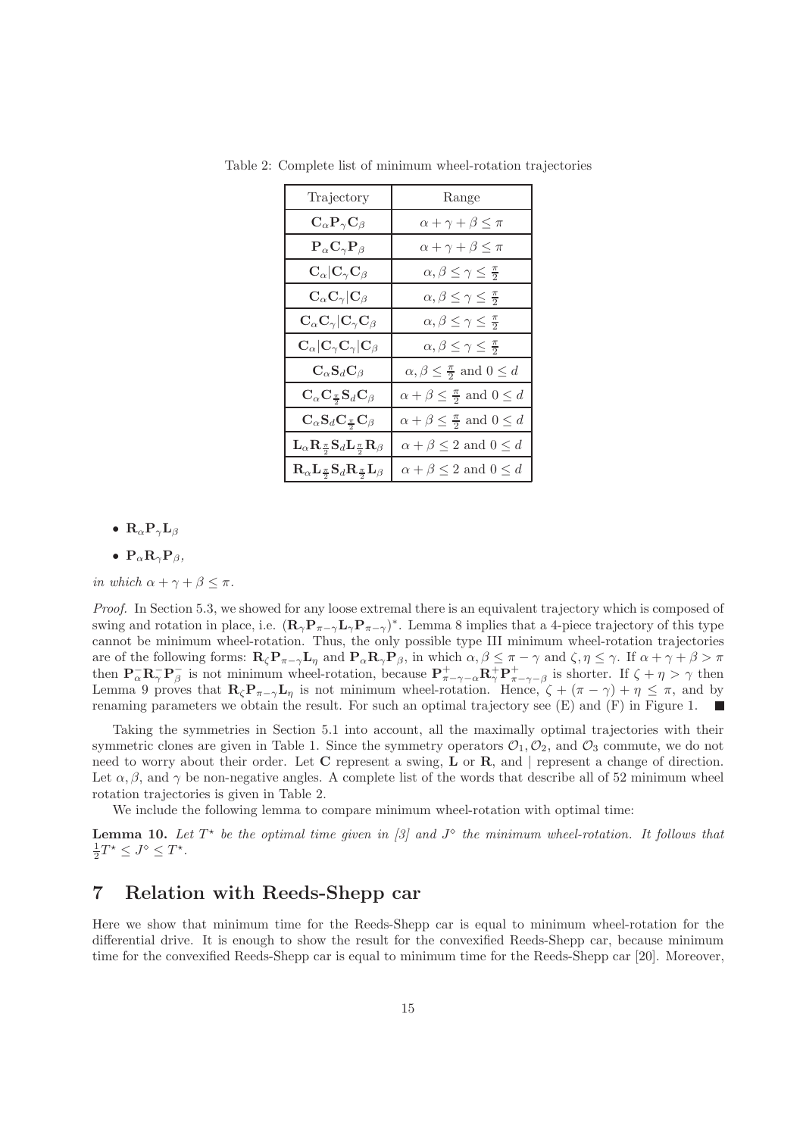| Trajectory                                                                                                | Range                                              |  |  |
|-----------------------------------------------------------------------------------------------------------|----------------------------------------------------|--|--|
| $C_{\alpha}P_{\gamma}C_{\beta}$                                                                           | $\alpha + \gamma + \beta \leq \pi$                 |  |  |
| ${\bf P}_\alpha {\bf C}_\gamma {\bf P}_\beta$                                                             | $\alpha + \gamma + \beta \leq \pi$                 |  |  |
| $\mathbf{C}_{\alpha} \mathbf{C}_{\gamma}\mathbf{C}_{\beta}$                                               | $\alpha, \beta \leq \gamma \leq \frac{\pi}{2}$     |  |  |
| $\mathbf{C}_{\alpha}\mathbf{C}_{\gamma}\vert \mathbf{C}_{\beta}$                                          | $\alpha, \beta \leq \gamma \leq \frac{\pi}{2}$     |  |  |
| $C_{\alpha}C_{\gamma} C_{\gamma}C_{\beta}$                                                                | $\alpha, \beta \leq \gamma \leq \frac{\pi}{2}$     |  |  |
| $\mathbf{C}_{\alpha} \mathbf{C}_{\gamma}\mathbf{C}_{\gamma} \mathbf{C}_{\beta}$                           | $\alpha, \beta \leq \gamma \leq \frac{\pi}{2}$     |  |  |
| $\mathbf{C}_\alpha \mathbf{S}_d \mathbf{C}_\beta$                                                         | $\alpha, \beta \leq \frac{\pi}{2}$ and $0 \leq d$  |  |  |
| $\mathbf{C}_{\alpha} \mathbf{C}_{\frac{\pi}{2}} \mathbf{S}_{d} \mathbf{C}_{\beta}$                        | $\alpha + \beta \leq \frac{\pi}{2}$ and $0 \leq d$ |  |  |
| $C_{\alpha}S_{d}C_{\frac{\pi}{2}}C_{\beta}$                                                               | $\alpha + \beta \leq \frac{\pi}{2}$ and $0 \leq d$ |  |  |
| $L_{\alpha}R_{\frac{\pi}{2}}S_{d}L_{\frac{\pi}{2}}R_{\beta}$                                              | $\alpha + \beta \leq 2$ and $0 \leq d$             |  |  |
| $\mathbf{R}_{\alpha}\mathbf{L}_{\frac{\pi}{2}}\mathbf{S}_{d}\mathbf{R}_{\frac{\pi}{2}}\mathbf{L}_{\beta}$ | $\alpha + \beta \leq 2$ and $0 \leq d$             |  |  |

Table 2: Complete list of minimum wheel-rotation trajectories

•  $\mathbf{R}_{\alpha} \mathbf{P}_{\gamma} \mathbf{L}_{\beta}$ 

•  $P_{\alpha}R_{\gamma}P_{\beta}$ 

in which  $\alpha + \gamma + \beta \leq \pi$ .

Proof. In Section 5.3, we showed for any loose extremal there is an equivalent trajectory which is composed of swing and rotation in place, i.e.  $(\mathbf{R}_{\gamma} \mathbf{P}_{\pi-\gamma} \mathbf{L}_{\gamma} \mathbf{P}_{\pi-\gamma})^*$ . Lemma 8 implies that a 4-piece trajectory of this type cannot be minimum wheel-rotation. Thus, the only possible type III minimum wheel-rotation trajectories are of the following forms:  $\mathbf{R}_{\zeta} \mathbf{P}_{\pi-\gamma} \mathbf{L}_{\eta}$  and  $\mathbf{P}_{\alpha} \mathbf{R}_{\gamma} \mathbf{P}_{\beta}$ , in which  $\alpha, \beta \leq \pi - \gamma$  and  $\zeta, \eta \leq \gamma$ . If  $\alpha + \gamma + \beta > \pi$ then  $\mathbf{P}_{\alpha}^{-} \mathbf{R}_{\gamma}^{-} \mathbf{P}_{\beta}^{-}$ β is not minimum wheel-rotation, because  $P_{\pi-\gamma-\alpha}^{+}R_{\gamma}^{+}P_{\pi-\gamma-\beta}^{+}$  is shorter. If  $ζ + η > γ$  then Lemma 9 proves that  $\mathbf{R}_{\zeta} \mathbf{P}_{\pi-\gamma} \mathbf{L}_{\eta}$  is not minimum wheel-rotation. Hence,  $\zeta + (\pi - \gamma) + \eta \leq \pi$ , and by renaming parameters we obtain the result. For such an optimal trajectory see (E) and (F) in Figure 1. **The State** 

Taking the symmetries in Section 5.1 into account, all the maximally optimal trajectories with their symmetric clones are given in Table 1. Since the symmetry operators  $\mathcal{O}_1, \mathcal{O}_2$ , and  $\mathcal{O}_3$  commute, we do not need to worry about their order. Let C represent a swing, L or R, and | represent a change of direction. Let  $\alpha, \beta$ , and  $\gamma$  be non-negative angles. A complete list of the words that describe all of 52 minimum wheel rotation trajectories is given in Table 2.

We include the following lemma to compare minimum wheel-rotation with optimal time:

**Lemma 10.** Let  $T^*$  be the optimal time given in [3] and  $J^{\diamond}$  the minimum wheel-rotation. It follows that  $\frac{1}{2}T^* \leq J^{\diamond} \leq T^*.$ 

## 7 Relation with Reeds-Shepp car

Here we show that minimum time for the Reeds-Shepp car is equal to minimum wheel-rotation for the differential drive. It is enough to show the result for the convexified Reeds-Shepp car, because minimum time for the convexified Reeds-Shepp car is equal to minimum time for the Reeds-Shepp car [20]. Moreover,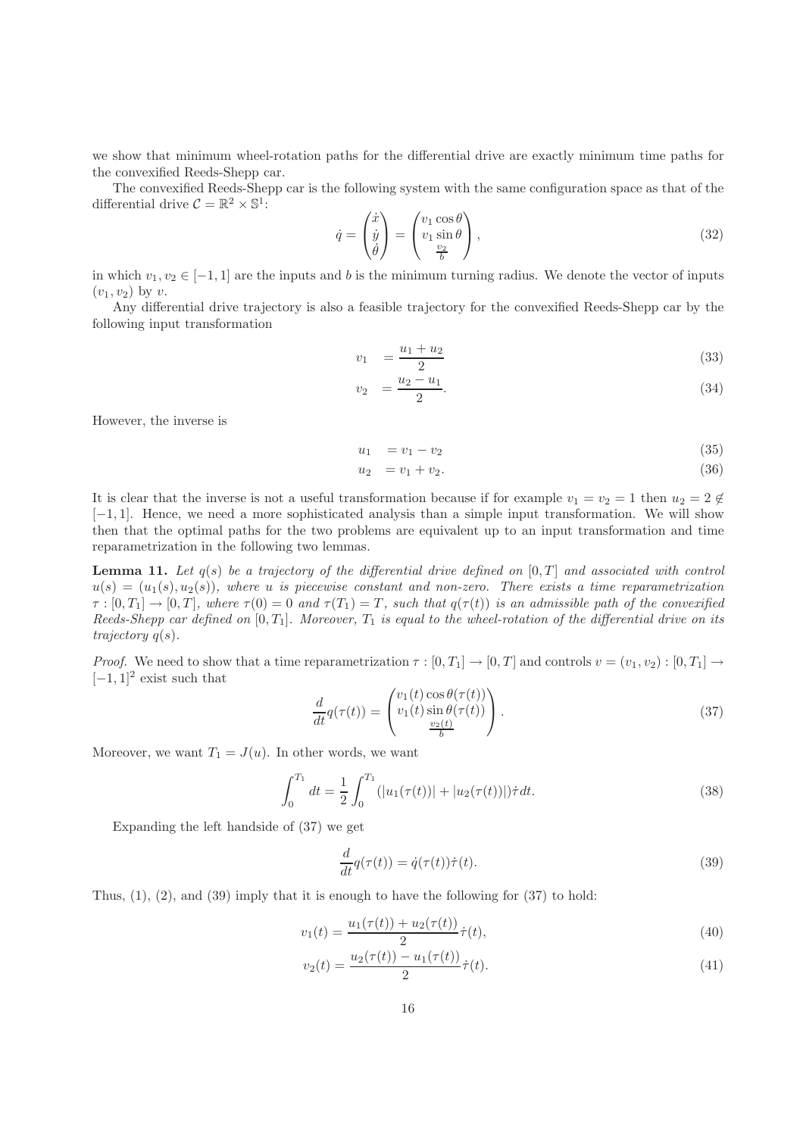we show that minimum wheel-rotation paths for the differential drive are exactly minimum time paths for the convexified Reeds-Shepp car.

The convexified Reeds-Shepp car is the following system with the same configuration space as that of the differential drive  $C = \mathbb{R}^2 \times \mathbb{S}^1$ :

$$
\dot{q} = \begin{pmatrix} \dot{x} \\ \dot{y} \\ \dot{\theta} \end{pmatrix} = \begin{pmatrix} v_1 \cos \theta \\ v_1 \sin \theta \\ \frac{v_2}{b} \end{pmatrix},\tag{32}
$$

in which  $v_1, v_2 \in [-1, 1]$  are the inputs and b is the minimum turning radius. We denote the vector of inputs  $(v_1, v_2)$  by v.

Any differential drive trajectory is also a feasible trajectory for the convexified Reeds-Shepp car by the following input transformation

$$
v_1 = \frac{u_1 + u_2}{2} \tag{33}
$$

$$
v_2 = \frac{u_2 - u_1}{2}.\tag{34}
$$

However, the inverse is

$$
u_1 = v_1 - v_2 \tag{35}
$$

$$
u_2 = v_1 + v_2. \t\t(36)
$$

It is clear that the inverse is not a useful transformation because if for example  $v_1 = v_2 = 1$  then  $u_2 = 2 \notin$ [−1, 1]. Hence, we need a more sophisticated analysis than a simple input transformation. We will show then that the optimal paths for the two problems are equivalent up to an input transformation and time reparametrization in the following two lemmas.

**Lemma 11.** Let  $q(s)$  be a trajectory of the differential drive defined on  $[0, T]$  and associated with control  $u(s) = (u_1(s), u_2(s))$ , where u is piecewise constant and non-zero. There exists a time reparametrization  $\tau : [0, T_1] \to [0, T]$ , where  $\tau(0) = 0$  and  $\tau(T_1) = T$ , such that  $q(\tau(t))$  is an admissible path of the convexified Reeds-Shepp car defined on  $[0, T_1]$ . Moreover,  $T_1$  is equal to the wheel-rotation of the differential drive on its trajectory  $q(s)$ .

Proof. We need to show that a time reparametrization  $\tau : [0, T_1] \to [0, T]$  and controls  $v = (v_1, v_2) : [0, T_1] \to$  $[-1, 1]^2$  exist such that

$$
\frac{d}{dt}q(\tau(t)) = \begin{pmatrix} v_1(t)\cos\theta(\tau(t)) \\ v_1(t)\sin\theta(\tau(t)) \\ \frac{v_2(t)}{b} \end{pmatrix}.
$$
\n(37)

Moreover, we want  $T_1 = J(u)$ . In other words, we want

$$
\int_0^{T_1} dt = \frac{1}{2} \int_0^{T_1} (|u_1(\tau(t))| + |u_2(\tau(t))|) \dot{\tau} dt.
$$
 (38)

Expanding the left handside of (37) we get

$$
\frac{d}{dt}q(\tau(t)) = \dot{q}(\tau(t))\dot{\tau}(t). \tag{39}
$$

Thus,  $(1)$ ,  $(2)$ , and  $(39)$  imply that it is enough to have the following for  $(37)$  to hold:

$$
v_1(t) = \frac{u_1(\tau(t)) + u_2(\tau(t))}{2} \dot{\tau}(t),
$$
\n(40)

$$
v_2(t) = \frac{u_2(\tau(t)) - u_1(\tau(t))}{2} \dot{\tau}(t).
$$
\n(41)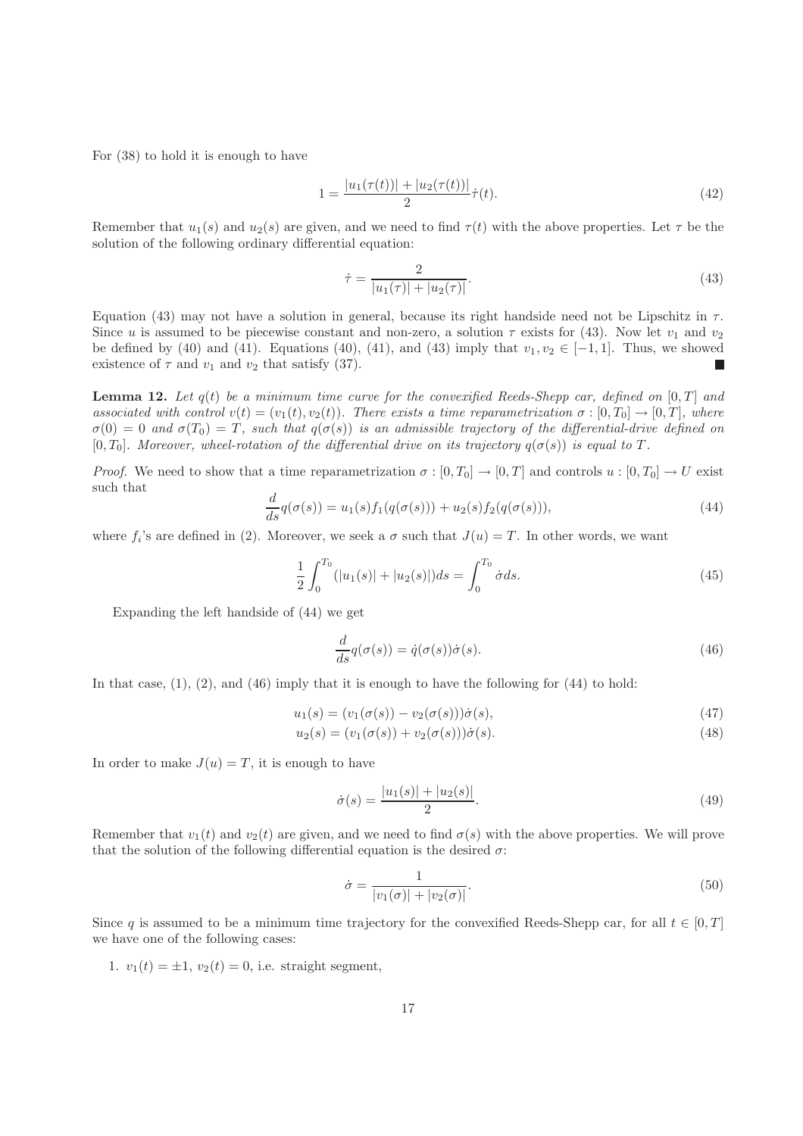For (38) to hold it is enough to have

$$
1 = \frac{|u_1(\tau(t))| + |u_2(\tau(t))|}{2} \dot{\tau}(t).
$$
\n(42)

Remember that  $u_1(s)$  and  $u_2(s)$  are given, and we need to find  $\tau(t)$  with the above properties. Let  $\tau$  be the solution of the following ordinary differential equation:

$$
\dot{\tau} = \frac{2}{|u_1(\tau)| + |u_2(\tau)|}.\tag{43}
$$

Equation (43) may not have a solution in general, because its right handside need not be Lipschitz in  $\tau$ . Since u is assumed to be piecewise constant and non-zero, a solution  $\tau$  exists for (43). Now let  $v_1$  and  $v_2$ be defined by (40) and (41). Equations (40), (41), and (43) imply that  $v_1, v_2 \in [-1, 1]$ . Thus, we showed existence of  $\tau$  and  $v_1$  and  $v_2$  that satisfy (37).  $\Box$ 

**Lemma 12.** Let  $q(t)$  be a minimum time curve for the convexified Reeds-Shepp car, defined on  $[0, T]$  and associated with control  $v(t) = (v_1(t), v_2(t))$ . There exists a time reparametrization  $\sigma : [0, T_0] \to [0, T]$ , where  $\sigma(0) = 0$  and  $\sigma(T_0) = T$ , such that  $q(\sigma(s))$  is an admissible trajectory of the differential-drive defined on [0, T<sub>0</sub>]. Moreover, wheel-rotation of the differential drive on its trajectory  $q(\sigma(s))$  is equal to T.

*Proof.* We need to show that a time reparametrization  $\sigma : [0, T_0] \to [0, T]$  and controls  $u : [0, T_0] \to U$  exist such that

$$
\frac{d}{ds}q(\sigma(s)) = u_1(s)f_1(q(\sigma(s))) + u_2(s)f_2(q(\sigma(s))),
$$
\n(44)

where  $f_i$ 's are defined in (2). Moreover, we seek a  $\sigma$  such that  $J(u) = T$ . In other words, we want

$$
\frac{1}{2} \int_0^{T_0} (|u_1(s)| + |u_2(s)|) ds = \int_0^{T_0} \dot{\sigma} ds.
$$
\n(45)

Expanding the left handside of (44) we get

$$
\frac{d}{ds}q(\sigma(s)) = \dot{q}(\sigma(s))\dot{\sigma}(s).
$$
\n(46)

In that case,  $(1)$ ,  $(2)$ , and  $(46)$  imply that it is enough to have the following for  $(44)$  to hold:

$$
u_1(s) = (v_1(\sigma(s)) - v_2(\sigma(s)))\dot{\sigma}(s),
$$
\n(47)

$$
u_2(s) = (v_1(\sigma(s)) + v_2(\sigma(s)))\dot{\sigma}(s).
$$
\n(48)

In order to make  $J(u) = T$ , it is enough to have

$$
\dot{\sigma}(s) = \frac{|u_1(s)| + |u_2(s)|}{2}.\tag{49}
$$

Remember that  $v_1(t)$  and  $v_2(t)$  are given, and we need to find  $\sigma(s)$  with the above properties. We will prove that the solution of the following differential equation is the desired  $\sigma$ :

$$
\dot{\sigma} = \frac{1}{|v_1(\sigma)| + |v_2(\sigma)|}.
$$
\n(50)

Since q is assumed to be a minimum time trajectory for the convexified Reeds-Shepp car, for all  $t \in [0, T]$ we have one of the following cases:

1.  $v_1(t) = \pm 1$ ,  $v_2(t) = 0$ , i.e. straight segment,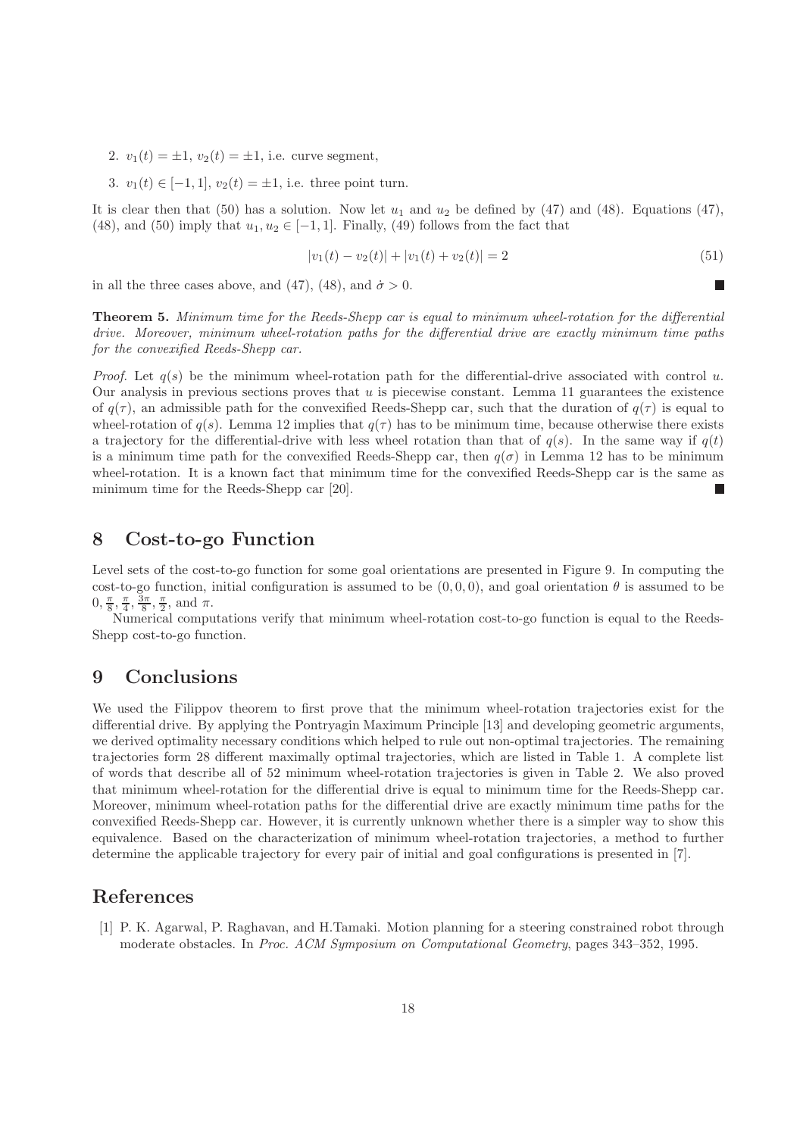2.  $v_1(t) = \pm 1$ ,  $v_2(t) = \pm 1$ , i.e. curve segment,

3.  $v_1(t) \in [-1, 1], v_2(t) = \pm 1$ , i.e. three point turn.

It is clear then that (50) has a solution. Now let  $u_1$  and  $u_2$  be defined by (47) and (48). Equations (47), (48), and (50) imply that  $u_1, u_2 \in [-1, 1]$ . Finally, (49) follows from the fact that

$$
|v_1(t) - v_2(t)| + |v_1(t) + v_2(t)| = 2
$$
\n(51)

П

in all the three cases above, and (47), (48), and  $\dot{\sigma} > 0$ .

Theorem 5. Minimum time for the Reeds-Shepp car is equal to minimum wheel-rotation for the differential drive. Moreover, minimum wheel-rotation paths for the differential drive are exactly minimum time paths for the convexified Reeds-Shepp car.

*Proof.* Let  $q(s)$  be the minimum wheel-rotation path for the differential-drive associated with control u. Our analysis in previous sections proves that u is piecewise constant. Lemma 11 guarantees the existence of  $q(\tau)$ , an admissible path for the convexified Reeds-Shepp car, such that the duration of  $q(\tau)$  is equal to wheel-rotation of  $q(s)$ . Lemma 12 implies that  $q(\tau)$  has to be minimum time, because otherwise there exists a trajectory for the differential-drive with less wheel rotation than that of  $q(s)$ . In the same way if  $q(t)$ is a minimum time path for the convexified Reeds-Shepp car, then  $q(\sigma)$  in Lemma 12 has to be minimum wheel-rotation. It is a known fact that minimum time for the convexified Reeds-Shepp car is the same as minimum time for the Reeds-Shepp car [20].

# 8 Cost-to-go Function

Level sets of the cost-to-go function for some goal orientations are presented in Figure 9. In computing the cost-to-go function, initial configuration is assumed to be  $(0, 0, 0)$ , and goal orientation  $\theta$  is assumed to be  $0, \frac{\pi}{8}, \frac{\pi}{4}, \frac{3\pi}{8}, \frac{\pi}{2}, \text{ and } \pi.$ 

Numerical computations verify that minimum wheel-rotation cost-to-go function is equal to the Reeds-Shepp cost-to-go function.

# 9 Conclusions

We used the Filippov theorem to first prove that the minimum wheel-rotation trajectories exist for the differential drive. By applying the Pontryagin Maximum Principle [13] and developing geometric arguments, we derived optimality necessary conditions which helped to rule out non-optimal trajectories. The remaining trajectories form 28 different maximally optimal trajectories, which are listed in Table 1. A complete list of words that describe all of 52 minimum wheel-rotation trajectories is given in Table 2. We also proved that minimum wheel-rotation for the differential drive is equal to minimum time for the Reeds-Shepp car. Moreover, minimum wheel-rotation paths for the differential drive are exactly minimum time paths for the convexified Reeds-Shepp car. However, it is currently unknown whether there is a simpler way to show this equivalence. Based on the characterization of minimum wheel-rotation trajectories, a method to further determine the applicable trajectory for every pair of initial and goal configurations is presented in [7].

# References

[1] P. K. Agarwal, P. Raghavan, and H.Tamaki. Motion planning for a steering constrained robot through moderate obstacles. In Proc. ACM Symposium on Computational Geometry, pages 343–352, 1995.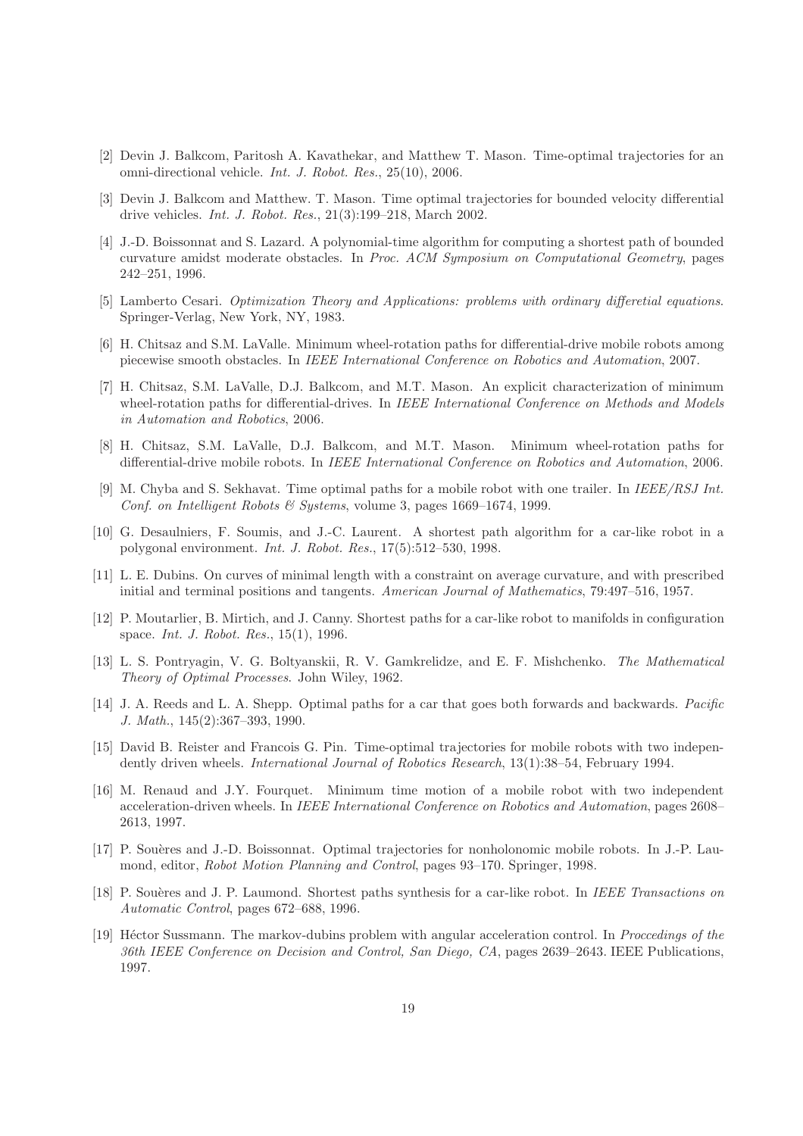- [2] Devin J. Balkcom, Paritosh A. Kavathekar, and Matthew T. Mason. Time-optimal trajectories for an omni-directional vehicle. Int. J. Robot. Res., 25(10), 2006.
- [3] Devin J. Balkcom and Matthew. T. Mason. Time optimal trajectories for bounded velocity differential drive vehicles. Int. J. Robot. Res., 21(3):199–218, March 2002.
- [4] J.-D. Boissonnat and S. Lazard. A polynomial-time algorithm for computing a shortest path of bounded curvature amidst moderate obstacles. In Proc. ACM Symposium on Computational Geometry, pages 242–251, 1996.
- [5] Lamberto Cesari. Optimization Theory and Applications: problems with ordinary differetial equations. Springer-Verlag, New York, NY, 1983.
- [6] H. Chitsaz and S.M. LaValle. Minimum wheel-rotation paths for differential-drive mobile robots among piecewise smooth obstacles. In IEEE International Conference on Robotics and Automation, 2007.
- [7] H. Chitsaz, S.M. LaValle, D.J. Balkcom, and M.T. Mason. An explicit characterization of minimum wheel-rotation paths for differential-drives. In IEEE International Conference on Methods and Models in Automation and Robotics, 2006.
- [8] H. Chitsaz, S.M. LaValle, D.J. Balkcom, and M.T. Mason. Minimum wheel-rotation paths for differential-drive mobile robots. In *IEEE International Conference on Robotics and Automation*, 2006.
- [9] M. Chyba and S. Sekhavat. Time optimal paths for a mobile robot with one trailer. In IEEE/RSJ Int. Conf. on Intelligent Robots & Systems, volume 3, pages 1669–1674, 1999.
- [10] G. Desaulniers, F. Soumis, and J.-C. Laurent. A shortest path algorithm for a car-like robot in a polygonal environment. Int. J. Robot. Res., 17(5):512–530, 1998.
- [11] L. E. Dubins. On curves of minimal length with a constraint on average curvature, and with prescribed initial and terminal positions and tangents. American Journal of Mathematics, 79:497–516, 1957.
- [12] P. Moutarlier, B. Mirtich, and J. Canny. Shortest paths for a car-like robot to manifolds in configuration space. Int. J. Robot. Res., 15(1), 1996.
- [13] L. S. Pontryagin, V. G. Boltyanskii, R. V. Gamkrelidze, and E. F. Mishchenko. The Mathematical Theory of Optimal Processes. John Wiley, 1962.
- [14] J. A. Reeds and L. A. Shepp. Optimal paths for a car that goes both forwards and backwards. Pacific J. Math., 145(2):367–393, 1990.
- [15] David B. Reister and Francois G. Pin. Time-optimal trajectories for mobile robots with two independently driven wheels. International Journal of Robotics Research, 13(1):38–54, February 1994.
- [16] M. Renaud and J.Y. Fourquet. Minimum time motion of a mobile robot with two independent acceleration-driven wheels. In IEEE International Conference on Robotics and Automation, pages 2608– 2613, 1997.
- [17] P. Souères and J.-D. Boissonnat. Optimal trajectories for nonholonomic mobile robots. In J.-P. Laumond, editor, Robot Motion Planning and Control, pages 93–170. Springer, 1998.
- [18] P. Souères and J. P. Laumond. Shortest paths synthesis for a car-like robot. In IEEE Transactions on Automatic Control, pages 672–688, 1996.
- [19] Héctor Sussmann. The markov-dubins problem with angular acceleration control. In Proccedings of the 36th IEEE Conference on Decision and Control, San Diego, CA, pages 2639–2643. IEEE Publications, 1997.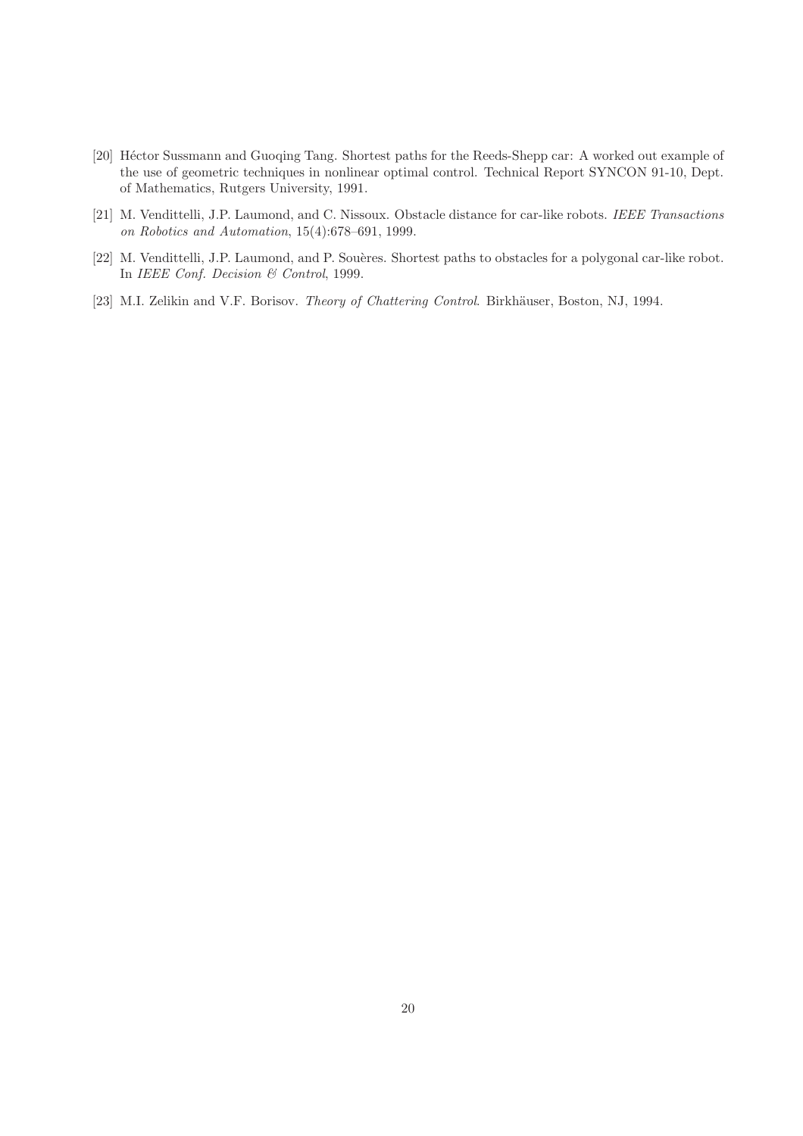- [20] Héctor Sussmann and Guoqing Tang. Shortest paths for the Reeds-Shepp car: A worked out example of the use of geometric techniques in nonlinear optimal control. Technical Report SYNCON 91-10, Dept. of Mathematics, Rutgers University, 1991.
- [21] M. Vendittelli, J.P. Laumond, and C. Nissoux. Obstacle distance for car-like robots. IEEE Transactions on Robotics and Automation, 15(4):678–691, 1999.
- [22] M. Vendittelli, J.P. Laumond, and P. Souères. Shortest paths to obstacles for a polygonal car-like robot. In IEEE Conf. Decision & Control, 1999.
- [23] M.I. Zelikin and V.F. Borisov. Theory of Chattering Control. Birkhäuser, Boston, NJ, 1994.